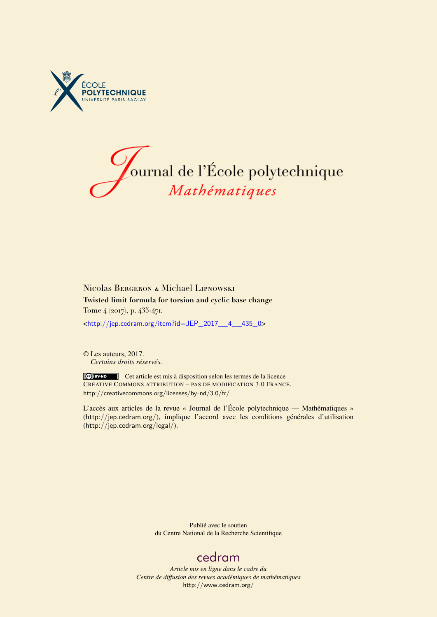



Nicolas Bergeron & Michael Lipnowski **Twisted limit formula for torsion and cyclic base change** Tome 4 (2017), p. 435-471. <[http://jep.cedram.org/item?id=JEP\\_2017\\_\\_4\\_\\_435\\_0](http://jep.cedram.org/item?id=JEP_2017__4__435_0)>

© Les auteurs, 2017. *Certains droits réservés.*

Cet article est mis à disposition selon les termes de la licence CREATIVE COMMONS ATTRIBUTION – PAS DE MODIFICATION 3.0 FRANCE. <http://creativecommons.org/licenses/by-nd/3.0/fr/>

L'accès aux articles de la revue « Journal de l'École polytechnique — Mathématiques » (<http://jep.cedram.org/>), implique l'accord avec les conditions générales d'utilisation (<http://jep.cedram.org/legal/>).

> Publié avec le soutien du Centre National de la Recherche Scientifique

# [cedram](http://www.cedram.org/)

*Article mis en ligne dans le cadre du Centre de diffusion des revues académiques de mathématiques* <http://www.cedram.org/>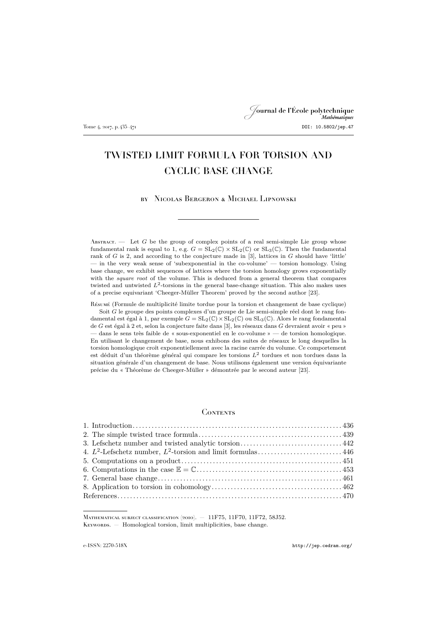# Journal de l'École polytechnique Tome 4, 2017, p. 435–471 **DOI: 10.5802/jep.47**

# TWISTED LIMIT FORMULA FOR TORSION AND CYCLIC BASE CHANGE

by Nicolas Bergeron & Michael Lipnowski

ABSTRACT.  $-$  Let G be the group of complex points of a real semi-simple Lie group whose fundamental rank is equal to 1, e.g.  $G = SL_2(\mathbb{C}) \times SL_2(\mathbb{C})$  or  $SL_3(\mathbb{C})$ . Then the fundamental rank of  $G$  is 2, and according to the conjecture made in [\[3\]](#page-36-0), lattices in  $G$  should have 'little' — in the very weak sense of 'subexponential in the co-volume' — torsion homology. Using base change, we exhibit sequences of lattices where the torsion homology grows exponentially with the *square root* of the volume. This is deduced from a general theorem that compares twisted and untwisted  $L^2$ -torsions in the general base-change situation. This also makes uses of a precise equivariant 'Cheeger-Müller Theorem' proved by the second author [\[23\]](#page-37-0).

Résumé (Formule de multiplicité limite tordue pour la torsion et changement de base cyclique)

Soit G le groupe des points complexes d'un groupe de Lie semi-simple réel dont le rang fondamental est égal à 1, par exemple  $G = SL_2(\mathbb{C}) \times SL_2(\mathbb{C})$  ou  $SL_3(\mathbb{C})$ . Alors le rang fondamental de G est égal à 2 et, selon la conjecture faite dans [\[3\]](#page-36-0), les réseaux dans G devraient avoir « peu » — dans le sens très faible de « sous-exponentiel en le co-volume » — de torsion homologique. En utilisant le changement de base, nous exhibons des suites de réseaux le long desquelles la torsion homologique croît exponentiellement avec la racine carrée du volume. Ce comportement est déduit d'un théorème général qui compare les torsions  $L^2$  tordues et non tordues dans la situation générale d'un changement de base. Nous utilisons également une version équivariante précise du « Théorème de Cheeger-Müller » démontrée par le second auteur [\[23\]](#page-37-0).

#### **CONTENTS**

Mathematical subject classification (2010). — 11F75, 11F70, 11F72, 58J52. KEYWORDS. - Homological torsion, limit multiplicities, base change.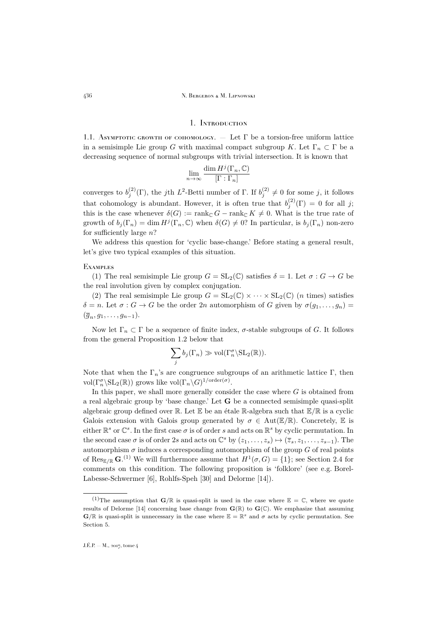### 1. Introduction

<span id="page-2-0"></span>1.1. ASYMPTOTIC GROWTH OF COHOMOLOGY.  $-$  Let  $\Gamma$  be a torsion-free uniform lattice in a semisimple Lie group G with maximal compact subgroup K. Let  $\Gamma_n \subset \Gamma$  be a decreasing sequence of normal subgroups with trivial intersection. It is known that

$$
\lim_{n \to \infty} \frac{\dim H^j(\Gamma_n, \mathbb{C})}{[\Gamma : \Gamma_n]}
$$

converges to  $b_j^{(2)}(\Gamma)$ , the jth L<sup>2</sup>-Betti number of  $\Gamma$ . If  $b_j^{(2)} \neq 0$  for some j, it follows that cohomology is abundant. However, it is often true that  $b_j^{(2)}(\Gamma) = 0$  for all j; this is the case whenever  $\delta(G) := \text{rank}_{\mathbb{C}} G - \text{rank}_{\mathbb{C}} K \neq 0$ . What is the true rate of growth of  $b_j(\Gamma_n) = \dim H^j(\Gamma_n, \mathbb{C})$  when  $\delta(G) \neq 0$ ? In particular, is  $b_j(\Gamma_n)$  non-zero for sufficiently large  $n$ ?

We address this question for 'cyclic base-change.' Before stating a general result, let's give two typical examples of this situation.

#### **EXAMPLES**

(1) The real semisimple Lie group  $G = SL_2(\mathbb{C})$  satisfies  $\delta = 1$ . Let  $\sigma : G \to G$  be the real involution given by complex conjugation.

(2) The real semisimple Lie group  $G = SL_2(\mathbb{C}) \times \cdots \times SL_2(\mathbb{C})$  (*n* times) satisfies  $\delta = n$ . Let  $\sigma : G \to G$  be the order  $2n$  automorphism of G given by  $\sigma(g_1, \ldots, g_n) =$  $(\overline{g}_n, g_1, \ldots, g_{n-1}).$ 

Now let  $\Gamma_n \subset \Gamma$  be a sequence of finite index,  $\sigma$ -stable subgroups of G. It follows from the general Proposition [1.2](#page-3-0) below that

$$
\sum_j b_j(\Gamma_n) \gg \text{vol}(\Gamma_n^{\sigma} \backslash \text{SL}_2(\mathbb{R})).
$$

Note that when the  $\Gamma_n$ 's are congruence subgroups of an arithmetic lattice Γ, then vol $(\Gamma_n^{\sigma} \backslash \mathrm{SL}_2(\mathbb{R}))$  grows like vol $(\Gamma_n \backslash G)^{1/\mathrm{order}(\sigma)}$ .

In this paper, we shall more generally consider the case where  $G$  is obtained from a real algebraic group by 'base change.' Let G be a connected semisimple quasi-split algebraic group defined over  $\mathbb R$ . Let  $\mathbb E$  be an étale  $\mathbb R$ -algebra such that  $\mathbb E/\mathbb R$  is a cyclic Galois extension with Galois group generated by  $\sigma \in Aut(\mathbb{E}/\mathbb{R})$ . Concretely, E is either  $\mathbb{R}^s$  or  $\mathbb{C}^s$ . In the first case  $\sigma$  is of order s and acts on  $\mathbb{R}^s$  by cyclic permutation. In the second case  $\sigma$  is of order 2s and acts on  $\mathbb{C}^s$  by  $(z_1, \ldots, z_s) \mapsto (\overline{z}_s, z_1, \ldots, z_{s-1})$ . The automorphism  $\sigma$  induces a corresponding automorphism of the group G of real points of Res<sub>E/R</sub> G.<sup>(1)</sup> We will furthermore assume that  $H^1(\sigma, G) = \{1\}$ ; see Section [2.4](#page-7-0) for comments on this condition. The following proposition is 'folklore' (see e.g. Borel-Labesse-Schwermer [\[6\]](#page-36-2), Rohlfs-Speh [\[30\]](#page-37-1) and Delorme [\[14\]](#page-36-3)).

<sup>&</sup>lt;sup>(1)</sup>The assumption that  $\mathbf{G}/\mathbb{R}$  is quasi-split is used in the case where  $\mathbb{E} = \mathbb{C}$ , where we quote results of Delorme [\[14\]](#page-36-3) concerning base change from  $\mathbf{G}(\mathbb{R})$  to  $\mathbf{G}(\mathbb{C})$ . We emphasize that assuming  $\mathbf{G}/\mathbb{R}$  is quasi-split is unnecessary in the case where  $\mathbb{E} = \mathbb{R}^s$  and  $\sigma$  acts by cyclic permutation. See Section [5.](#page-17-0)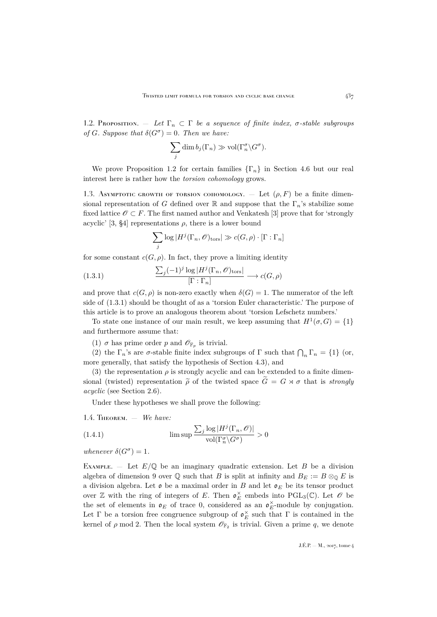<span id="page-3-0"></span>1.2. Proposition. — Let  $\Gamma_n \subset \Gamma$  be a sequence of finite index,  $\sigma$ -stable subgroups *of* G. Suppose that  $\delta(G^{\sigma}) = 0$ . Then we have:

$$
\sum_j \dim b_j(\Gamma_n) \gg \text{vol}(\Gamma_n^{\sigma} \backslash G^{\sigma}).
$$

We prove Proposition [1.2](#page-3-0) for certain families  $\{\Gamma_n\}$  in Section [4.6](#page-14-0) but our real interest here is rather how the *torsion cohomology* grows.

1.3. Asymptotic growth of torsion cohomology.  $-$  Let  $(\rho, F)$  be a finite dimensional representation of G defined over R and suppose that the  $\Gamma_n$ 's stabilize some fixed lattice  $\mathscr{O} \subset F$ . The first named author and Venkatesh [\[3\]](#page-36-0) prove that for 'strongly acyclic' [\[3,](#page-36-0) §4] representations  $\rho$ , there is a lower bound

<span id="page-3-1"></span>
$$
\sum_{j} \log |H^{j}(\Gamma_{n}, \mathscr{O})_{\text{tors}}| \gg c(G, \rho) \cdot [\Gamma : \Gamma_{n}]
$$

for some constant  $c(G, \rho)$ . In fact, they prove a limiting identity

(1.3.1) 
$$
\frac{\sum_{j} (-1)^{j} \log |H^{j}(\Gamma_{n}, \mathscr{O})_{\text{tors}}|}{[\Gamma : \Gamma_{n}]} \longrightarrow c(G, \rho)
$$

and prove that  $c(G, \rho)$  is non-zero exactly when  $\delta(G) = 1$ . The numerator of the left side of [\(1.3.1\)](#page-3-1) should be thought of as a 'torsion Euler characteristic.' The purpose of this article is to prove an analogous theorem about 'torsion Lefschetz numbers.'

To state one instance of our main result, we keep assuming that  $H^1(\sigma, G) = \{1\}$ and furthermore assume that:

<span id="page-3-4"></span>(1)  $\sigma$  has prime order p and  $\mathscr{O}_{\mathbb{F}_p}$  is trivial.

(2) the  $\Gamma_n$ 's are  $\sigma$ -stable finite index subgroups of  $\Gamma$  such that  $\bigcap_n \Gamma_n = \{1\}$  (or, more generally, that satisfy the hypothesis of Section [4.3\)](#page-12-1), and

<span id="page-3-5"></span>(3) the representation  $\rho$  is strongly acyclic and can be extended to a finite dimensional (twisted) representation  $\tilde{\rho}$  of the twisted space  $\tilde{G} = G \rtimes \sigma$  that is *strongly acyclic* (see Section [2.6\)](#page-8-1).

<span id="page-3-3"></span>Under these hypotheses we shall prove the following:

<span id="page-3-2"></span>1.4. Theorem. — *We have:*

(1.4.1) 
$$
\limsup \frac{\sum_{j} \log |H^j(\Gamma_n, \mathcal{O})|}{\text{vol}(\Gamma_n^{\sigma} \setminus G^{\sigma})} > 0
$$

*whenever*  $\delta(G^{\sigma}) = 1$ *.* 

EXAMPLE. — Let  $E/\mathbb{Q}$  be an imaginary quadratic extension. Let B be a division algebra of dimension 9 over  $\mathbb Q$  such that B is split at infinity and  $B_E := B \otimes_{\mathbb Q} E$  is a division algebra. Let  $\mathfrak o$  be a maximal order in B and let  $\mathfrak o_E$  be its tensor product over  $\mathbb Z$  with the ring of integers of E. Then  $\mathfrak o_E^{\times}$  embeds into PGL<sub>3</sub>( $\mathbb C$ ). Let  $\mathscr O$  be the set of elements in  $\mathfrak{o}_E$  of trace 0, considered as an  $\mathfrak{o}_E^{\times}$ -module by conjugation. Let  $\Gamma$  be a torsion free congruence subgroup of  $\mathfrak{o}_E^{\times}$  such that  $\Gamma$  is contained in the kernel of  $\rho$  mod 2. Then the local system  $\mathscr{O}_{\mathbb{F}_2}$  is trivial. Given a prime  $q$ , we denote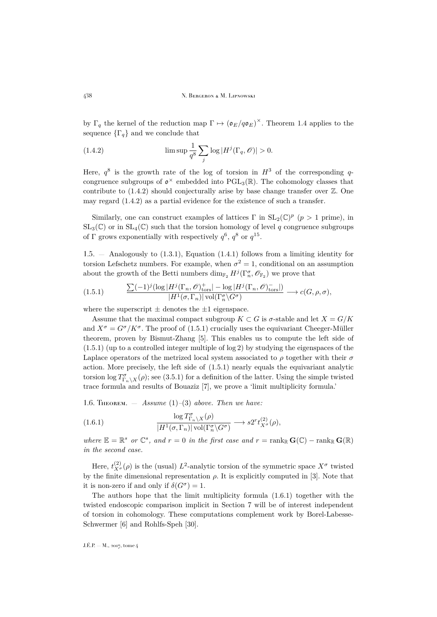by  $\Gamma_q$  the kernel of the reduction map  $\Gamma \mapsto (\mathfrak{o}_E/q\mathfrak{o}_E)^{\times}$ . Theorem [1.4](#page-3-2) applies to the sequence  $\{\Gamma_a\}$  and we conclude that

<span id="page-4-0"></span>(1.4.2) 
$$
\limsup \frac{1}{q^8} \sum_j \log |H^j(\Gamma_q, \mathscr{O})| > 0.
$$

Here,  $q^8$  is the growth rate of the log of torsion in  $H^3$  of the corresponding qcongruence subgroups of  $\mathfrak{o}^{\times}$  embedded into PGL<sub>3</sub>( $\mathbb{R}$ ). The cohomology classes that contribute to  $(1.4.2)$  should conjecturally arise by base change transfer over  $\mathbb{Z}$ . One may regard [\(1.4.2\)](#page-4-0) as a partial evidence for the existence of such a transfer.

Similarly, one can construct examples of lattices  $\Gamma$  in  $SL_2(\mathbb{C})^p$  ( $p > 1$  prime), in  $SL_3(\mathbb{C})$  or in  $SL_4(\mathbb{C})$  such that the torsion homology of level q congruence subgroups of  $\Gamma$  grows exponentially with respectively  $q^6$ ,  $q^8$  or  $q^{15}$ .

1.5. — Analogously to [\(1.3.1\)](#page-3-1), Equation [\(1.4.1\)](#page-3-3) follows from a limiting identity for torsion Lefschetz numbers. For example, when  $\sigma^2 = 1$ , conditional on an assumption about the growth of the Betti numbers  $\dim_{\mathbb{F}_2} H^j(\Gamma_n^{\sigma}, \mathscr{O}_{\mathbb{F}_2})$  we prove that

<span id="page-4-1"></span>(1.5.1) 
$$
\frac{\sum (-1)^j (\log |H^j(\Gamma_n, \mathcal{O})^+_{\text{tors}}| - \log |H^j(\Gamma_n, \mathcal{O})^-_{\text{tors}}|)}{|H^1(\sigma, \Gamma_n)| \operatorname{vol}(\Gamma_n^{\sigma} \backslash G^{\sigma})} \longrightarrow c(G, \rho, \sigma),
$$

where the superscript  $\pm$  denotes the  $\pm 1$  eigenspace.

Assume that the maximal compact subgroup  $K \subset G$  is  $\sigma$ -stable and let  $X = G/K$ and  $X^{\sigma} = G^{\sigma}/K^{\sigma}$ . The proof of [\(1.5.1\)](#page-4-1) crucially uses the equivariant Cheeger-Müller theorem, proven by Bismut-Zhang [\[5\]](#page-36-4). This enables us to compute the left side of [\(1.5.1\)](#page-4-1) (up to a controlled integer multiple of log 2) by studying the eigenspaces of the Laplace operators of the metrized local system associated to  $\rho$  together with their  $\sigma$ action. More precisely, the left side of [\(1.5.1\)](#page-4-1) nearly equals the equivariant analytic torsion  $\log T_{\Gamma_n\backslash X}^{\sigma}(\rho)$ ; see [\(3.5.1\)](#page-11-0) for a definition of the latter. Using the simple twisted trace formula and results of Bouaziz [\[7\]](#page-36-5), we prove a 'limit multiplicity formula.'

1.6. Theorem. — *Assume* [\(1\)](#page-3-4)*–*[\(3\)](#page-3-5) *above. Then we have:*

<span id="page-4-2"></span>(1.6.1) 
$$
\frac{\log T^{\sigma}_{\Gamma_n \backslash X}(\rho)}{|H^1(\sigma, \Gamma_n)| \operatorname{vol}(\Gamma^{\sigma}_n \backslash G^{\sigma})} \longrightarrow s2^r t_{X^{\sigma}}^{(2)}(\rho),
$$

*where*  $\mathbb{E} = \mathbb{R}^s$  *or*  $\mathbb{C}^s$ *, and*  $r = 0$  *in the first case and*  $r = \text{rank}_{\mathbb{R}} \mathbf{G}(\mathbb{C}) - \text{rank}_{\mathbb{R}} \mathbf{G}(\mathbb{R})$ *in the second case.*

Here,  $t_{X^{\sigma}}^{(2)}(\rho)$  is the (usual)  $L^2$ -analytic torsion of the symmetric space  $X^{\sigma}$  twisted by the finite dimensional representation  $\rho$ . It is explicitly computed in [\[3\]](#page-36-0). Note that it is non-zero if and only if  $\delta(G^{\sigma}) = 1$ .

The authors hope that the limit multiplicity formula [\(1.6.1\)](#page-4-2) together with the twisted endoscopic comparison implicit in Section 7 will be of interest independent of torsion in cohomology. These computations complement work by Borel-Labesse-Schwermer [\[6\]](#page-36-2) and Rohlfs-Speh [\[30\]](#page-37-1).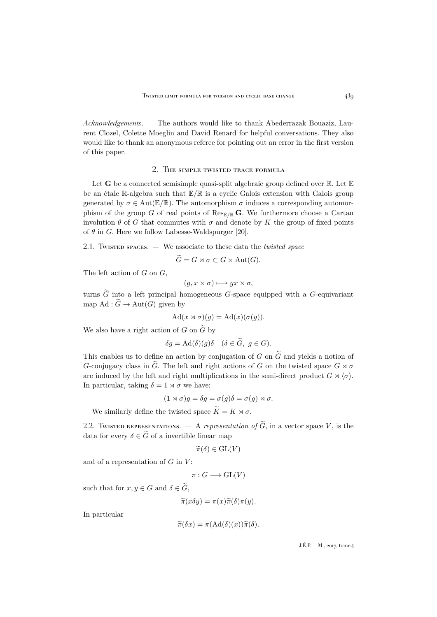*Acknowledgements*. — The authors would like to thank Abederrazak Bouaziz, Laurent Clozel, Colette Moeglin and David Renard for helpful conversations. They also would like to thank an anonymous referee for pointing out an error in the first version of this paper.

#### 2. The simple twisted trace formula

<span id="page-5-0"></span>Let **G** be a connected semisimple quasi-split algebraic group defined over  $\mathbb{R}$ . Let  $\mathbb{E}$ be an étale R-algebra such that E/R is a cyclic Galois extension with Galois group generated by  $\sigma \in \text{Aut}(\mathbb{E}/\mathbb{R})$ . The automorphism  $\sigma$  induces a corresponding automorphism of the group G of real points of  $\text{Res}_{\mathbb{E}/\mathbb{R}} G$ . We furthermore choose a Cartan involution  $\theta$  of G that commutes with  $\sigma$  and denote by K the group of fixed points of  $\theta$  in G. Here we follow Labesse-Waldspurger [\[20\]](#page-37-2).

2.1. Twisted spaces. — We associate to these data the *twisted space*

 $\widetilde{G} = G \rtimes \sigma \subset G \rtimes \text{Aut}(G).$ 

The left action of  $G$  on  $G$ ,

$$
(g, x \rtimes \sigma) \longmapsto gx \rtimes \sigma,
$$

turns  $\tilde{G}$  into a left principal homogeneous G-space equipped with a G-equivariant map Ad :  $\widetilde{G} \to \text{Aut}(G)$  given by

$$
Ad(x \rtimes \sigma)(g) = Ad(x)(\sigma(g)).
$$

We also have a right action of G on  $\widetilde{G}$  by

$$
\delta g = \mathrm{Ad}(\delta)(g)\delta \quad (\delta \in \widetilde{G}, \ g \in G).
$$

This enables us to define an action by conjugation of G on  $\tilde{G}$  and yields a notion of G-conjugacy class in  $\tilde{G}$ . The left and right actions of G on the twisted space  $G \rtimes \sigma$ are induced by the left and right multiplications in the semi-direct product  $G \rtimes \langle \sigma \rangle$ . In particular, taking  $\delta = 1 \times \sigma$  we have:

$$
(1 \rtimes \sigma)g = \delta g = \sigma(g)\delta = \sigma(g) \rtimes \sigma.
$$

We similarly define the twisted space  $\widetilde{K} = K \rtimes \sigma$ .

2.2. TWISTED REPRESENTATIONS.  $-$  A *representation of*  $\tilde{G}$ , in a vector space V, is the data for every  $\delta \in \tilde{G}$  of a invertible linear map

$$
\widetilde{\pi}(\delta) \in \mathrm{GL}(V)
$$

and of a representation of  $G$  in  $V$ :

$$
\pi: G \longrightarrow \operatorname{GL}(V)
$$

such that for  $x, y \in G$  and  $\delta \in \widetilde{G}$ ,

$$
\widetilde{\pi}(x\delta y)=\pi(x)\widetilde{\pi}(\delta)\pi(y).
$$

In particular

$$
\widetilde{\pi}(\delta x) = \pi(\mathrm{Ad}(\delta)(x))\widetilde{\pi}(\delta).
$$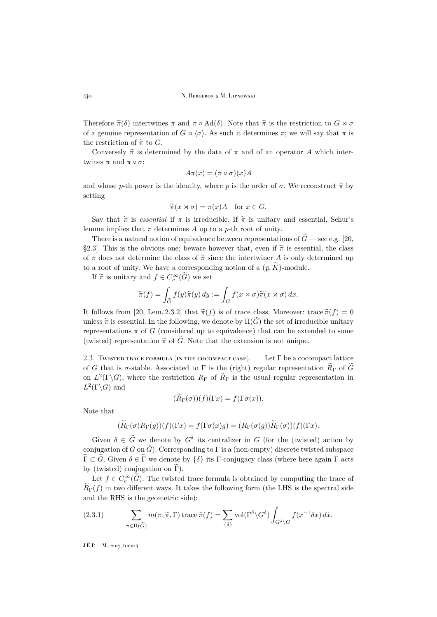Therefore  $\tilde{\pi}(\delta)$  intertwines  $\pi$  and  $\pi \circ \text{Ad}(\delta)$ . Note that  $\tilde{\pi}$  is the restriction to  $G \rtimes \sigma$ of a genuine representation of  $G \rtimes \langle \sigma \rangle$ . As such it determines  $\pi$ ; we will say that  $\pi$  is the restriction of  $\tilde{\pi}$  to G.

Conversely  $\tilde{\pi}$  is determined by the data of  $\pi$  and of an operator A which intertwines  $\pi$  and  $\pi \circ \sigma$ :

$$
A\pi(x) = (\pi \circ \sigma)(x)A
$$

and whose p-th power is the identity, where p is the order of  $\sigma$ . We reconstruct  $\tilde{\pi}$  by setting

$$
\widetilde{\pi}(x \rtimes \sigma) = \pi(x)A \quad \text{for } x \in G.
$$

Say that  $\tilde{\pi}$  is *essential* if  $\pi$  is irreducible. If  $\tilde{\pi}$  is unitary and essential, Schur's lemma implies that  $\pi$  determines A up to a p-th root of unity.

There is a natural notion of equivalence between representations of  $\tilde{G}$  — see e.g. [\[20,](#page-37-2) §2.3]. This is the obvious one; beware however that, even if  $\tilde{\pi}$  is essential, the class of  $\pi$  does not determine the class of  $\tilde{\pi}$  since the intertwiner A is only determined up to a root of unity. We have a corresponding notion of a  $(\mathfrak{g}, K)$ -module.

If  $\widetilde{\pi}$  is unitary and  $f \in C_c^{\infty}(\widetilde{G})$  we set

$$
\widetilde{\pi}(f) = \int_{\widetilde{G}} f(y)\widetilde{\pi}(y) dy := \int_G f(x \rtimes \sigma)\widetilde{\pi}(x \rtimes \sigma) dx.
$$

It follows from [\[20,](#page-37-2) Lem. 2.3.2] that  $\tilde{\pi}(f)$  is of trace class. Moreover: trace  $\tilde{\pi}(f) = 0$ unless  $\tilde{\pi}$  is essential. In the following, we denote by  $\Pi(G)$  the set of irreducible unitary representations  $\pi$  of G (considered up to equivalence) that can be extended to some (twisted) representation  $\tilde{\pi}$  of  $\tilde{G}$ . Note that the extension is not unique.

<span id="page-6-0"></span>2.3. TWISTED TRACE FORMULA (IN THE COCOMPACT CASE).  $-$  Let  $\Gamma$  be a cocompact lattice of G that is σ-stable. Associated to Γ is the (right) regular representation  $R_{\Gamma}$  of  $\tilde{G}$ on  $L^2(\Gamma \backslash G)$ , where the restriction  $R_{\Gamma}$  of  $\widetilde{R}_{\Gamma}$  is the usual regular representation in  $L^2(\Gamma \backslash G)$  and

$$
(\widetilde{R}_{\Gamma}(\sigma))(f)(\Gamma x) = f(\Gamma \sigma(x)).
$$

Note that

$$
(\widetilde{R}_{\Gamma}(\sigma)R_{\Gamma}(g))(f)(\Gamma x) = f(\Gamma \sigma(x)g) = (R_{\Gamma}(\sigma(g))\widetilde{R}_{\Gamma}(\sigma))(f)(\Gamma x).
$$

Given  $\delta \in \tilde{G}$  we denote by  $G^{\delta}$  its centralizer in G (for the (twisted) action by conjugation of G on  $\tilde{G}$ ). Corresponding to  $\Gamma$  is a (non-empty) discrete twisted subspace  $\widetilde{\Gamma} \subset \widetilde{G}$ . Given  $\delta \in \widetilde{\Gamma}$  we denote by  $\{\delta\}$  its Γ-conjugacy class (where here again  $\Gamma$  acts by (twisted) conjugation on  $\tilde{\Gamma}$ ).

Let  $f \in C_c^{\infty}(\widetilde{G})$ . The twisted trace formula is obtained by computing the trace of  $\widetilde{R}_{\Gamma}(f)$  in two different ways. It takes the following form (the LHS is the spectral side and the RHS is the geometric side):

(2.3.1) 
$$
\sum_{\pi \in \Pi(\widetilde{G})} m(\pi, \widetilde{\pi}, \Gamma) \operatorname{trace} \widetilde{\pi}(f) = \sum_{\{\delta\}} \operatorname{vol}(\Gamma^{\delta} \backslash G^{\delta}) \int_{G^{\delta} \backslash G} f(x^{-1} \delta x) dx.
$$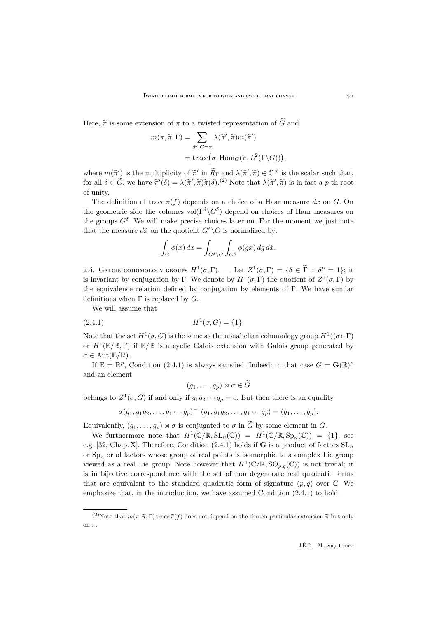Here,  $\tilde{\pi}$  is some extension of  $\pi$  to a twisted representation of  $\tilde{G}$  and

$$
m(\pi, \widetilde{\pi}, \Gamma) = \sum_{\widetilde{\pi}'|G=\pi} \lambda(\widetilde{\pi}', \widetilde{\pi}) m(\widetilde{\pi}')
$$
  
= trace $(\sigma | \text{Hom}_G(\widetilde{\pi}, L^2(\Gamma \backslash G))),$ 

where  $m(\tilde{\pi}')$  is the multiplicity of  $\tilde{\pi}'$  in  $\tilde{R}_{\Gamma}$  and  $\lambda(\tilde{\pi}', \tilde{\pi}) \in \mathbb{C}^{\times}$  is the scalar such that,<br>for all  $\tilde{\Sigma} \subset \tilde{C}$  are here  $\tilde{\Xi}'(\tilde{\Sigma})$ .  $\tilde{\Xi}'(\tilde{\Sigma}) \tilde{\Xi}'(\tilde{\Sigma})$  is the fact on the part for all  $\delta \in \tilde{G}$ , we have  $\tilde{\pi}'(\delta) = \lambda(\tilde{\pi}', \tilde{\pi})\tilde{\pi}(\delta)$ .<sup>(2)</sup> Note that  $\lambda(\tilde{\pi}', \tilde{\pi})$  is in fact a p-th root of unity.

The definition of trace  $\tilde{\pi}(f)$  depends on a choice of a Haar measure dx on G. On the geometric side the volumes  $vol(\Gamma^{\delta} \backslash G^{\delta})$  depend on choices of Haar measures on the groups  $G^{\delta}$ . We will make precise choices later on. For the moment we just note that the measure dx on the quotient  $G^{\delta}\backslash G$  is normalized by:

$$
\int_G \phi(x) dx = \int_{G^\delta \setminus G} \int_{G^\delta} \phi(gx) dg dx.
$$

<span id="page-7-0"></span>2.4. GALOIS COHOMOLOGY GROUPS  $H^1(\sigma, \Gamma)$ . — Let  $Z^1(\sigma, \Gamma) = \{\delta \in \widetilde{\Gamma} : \delta^p = 1\}$ ; it is invariant by conjugation by Γ. We denote by  $H^1(\sigma,\Gamma)$  the quotient of  $Z^1(\sigma,\Gamma)$  by the equivalence relation defined by conjugation by elements of  $\Gamma$ . We have similar definitions when  $\Gamma$  is replaced by  $G$ .

We will assume that

(2.4.1) 
$$
H^1(\sigma, G) = \{1\}.
$$

Note that the set  $H^1(\sigma,G)$  is the same as the nonabelian cohomology group  $H^1(\langle \sigma \rangle,\Gamma)$ or  $H^1(\mathbb{E}/\mathbb{R}, \Gamma)$  if  $\mathbb{E}/\mathbb{R}$  is a cyclic Galois extension with Galois group generated by  $\sigma \in \text{Aut}(\mathbb{E}/\mathbb{R}).$ 

If  $\mathbb{E} = \mathbb{R}^p$ , Condition [\(2.4.1\)](#page-7-1) is always satisfied. Indeed: in that case  $G = \mathbf{G}(\mathbb{R})^p$ and an element

<span id="page-7-1"></span>
$$
(g_1,\ldots,g_p)\rtimes\sigma\in\widetilde{G}
$$

belongs to  $Z^1(\sigma, G)$  if and only if  $g_1g_2\cdots g_p = e$ . But then there is an equality

$$
\sigma(g_1, g_1g_2, \ldots, g_1 \cdots g_p)^{-1}(g_1, g_1g_2, \ldots, g_1 \cdots g_p) = (g_1, \ldots, g_p).
$$

Equivalently,  $(g_1, \ldots, g_p) \rtimes \sigma$  is conjugated to  $\sigma$  in  $\widetilde{G}$  by some element in  $G$ .

We furthermore note that  $H^1(\mathbb{C}/\mathbb{R}, \mathrm{SL}_n(\mathbb{C})) = H^1(\mathbb{C}/\mathbb{R}, \mathrm{Sp}_n(\mathbb{C})) = \{1\}$ , see e.g. [\[32,](#page-37-3) Chap. X]. Therefore, Condition [\(2.4.1\)](#page-7-1) holds if **G** is a product of factors  $SL_n$ or  $Sp_n$  or of factors whose group of real points is isomorphic to a complex Lie group viewed as a real Lie group. Note however that  $H^1(\mathbb{C}/\mathbb{R},\mathrm{SO}_{p,q}(\mathbb{C}))$  is not trivial; it is in bijective correspondence with the set of non degenerate real quadratic forms that are equivalent to the standard quadratic form of signature  $(p, q)$  over  $\mathbb{C}$ . We emphasize that, in the introduction, we have assumed Condition [\(2.4.1\)](#page-7-1) to hold.

<sup>(2)</sup>Note that  $m(\pi, \tilde{\pi}, \Gamma)$  trace  $\tilde{\pi}(f)$  does not depend on the chosen particular extension  $\tilde{\pi}$  but only on  $\pi$ .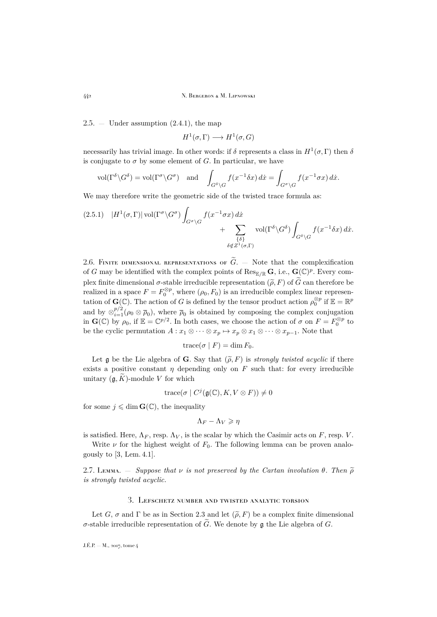2.5.  $-$  Under assumption  $(2.4.1)$ , the map

 $H^1(\sigma,\Gamma) \longrightarrow H^1(\sigma,G)$ 

necessarily has trivial image. In other words: if  $\delta$  represents a class in  $H^1(\sigma, \Gamma)$  then  $\delta$ is conjugate to  $\sigma$  by some element of G. In particular, we have

$$
\text{vol}(\Gamma^{\delta}\backslash G^{\delta}) = \text{vol}(\Gamma^{\sigma}\backslash G^{\sigma}) \quad \text{and} \quad \int_{G^{\delta}\backslash G} f(x^{-1}\delta x) dx = \int_{G^{\sigma}\backslash G} f(x^{-1}\sigma x) dx.
$$

We may therefore write the geometric side of the twisted trace formula as:

<span id="page-8-2"></span>
$$
(2.5.1) \quad |H^{1}(\sigma,\Gamma)| \operatorname{vol}(\Gamma^{\sigma} \backslash G^{\sigma}) \int_{G^{\sigma} \backslash G} f(x^{-1} \sigma x) dx + \sum_{\{\delta\}} \operatorname{vol}(\Gamma^{\delta} \backslash G^{\delta}) \int_{G^{\delta} \backslash G} f(x^{-1} \delta x) dx.
$$
\n
$$
\delta \notin Z^{1}(\sigma,\Gamma)
$$

<span id="page-8-1"></span>2.6. FINITE DIMENSIONAL REPRESENTATIONS OF  $\widetilde{G}_n$  — Note that the complexification of G may be identified with the complex points of  $\text{Res}_{\mathbb{E}/\mathbb{R}}\mathbf{G}$ , i.e.,  $\mathbf{G}(\mathbb{C})^p$ . Every complex finite dimensional  $\sigma$ -stable irreducible representation  $(\tilde{\rho}, F)$  of  $\tilde{G}$  can therefore be realized in a space  $F = F_0^{\otimes p}$ , where  $(\rho_0, F_0)$  is an irreducible complex linear representation of  $\mathbf{G}(\mathbb{C})$ . The action of G is defined by the tensor product action  $\rho_0^{\otimes p}$  if  $\mathbb{E} = \mathbb{R}^p$ and by  $\otimes_{i=1}^{p/2} (\rho_0 \otimes \overline{\rho}_0)$ , where  $\overline{\rho}_0$  is obtained by composing the complex conjugation in  $\mathbf{G}(\mathbb{C})$  by  $\rho_0$ , if  $\mathbb{E} = \mathbb{C}^{p/2}$ . In both cases, we choose the action of  $\sigma$  on  $F = F_0^{\otimes p}$  to be the cyclic permutation  $A: x_1 \otimes \cdots \otimes x_p \mapsto x_p \otimes x_1 \otimes \cdots \otimes x_{p-1}$ . Note that

trace
$$
(\sigma | F)
$$
 = dim  $F_0$ .

Let g be the Lie algebra of G. Say that  $(\tilde{\rho}, F)$  is *strongly twisted acyclic* if there exists a positive constant  $\eta$  depending only on F such that: for every irreducible unitary  $(\mathfrak{g}, K)$ -module V for which

$$
trace(\sigma \mid C^j(\mathfrak{g}(\mathbb{C}), K, V \otimes F)) \neq 0
$$

for some  $j \leqslant \dim \mathbf{G}(\mathbb{C})$ , the inequality

$$
\Lambda_F - \Lambda_V \geqslant \eta
$$

is satisfied. Here,  $\Lambda_F$ , resp.  $\Lambda_V$ , is the scalar by which the Casimir acts on F, resp. V.

Write  $\nu$  for the highest weight of  $F_0$ . The following lemma can be proven analogously to [\[3,](#page-36-0) Lem. 4.1].

2.7. Lemma.  $-$  *Suppose that*  $\nu$  *is not preserved by the Cartan involution*  $\theta$ *. Then*  $\tilde{\theta}$ *is strongly twisted acyclic.*

### 3. Lefschetz number and twisted analytic torsion

<span id="page-8-0"></span>Let G,  $\sigma$  and  $\Gamma$  be as in Section [2.3](#page-6-0) and let  $(\tilde{\rho}, F)$  be a complex finite dimensional σ-stable irreducible representation of  $\tilde{G}$ . We denote by **g** the Lie algebra of *G*.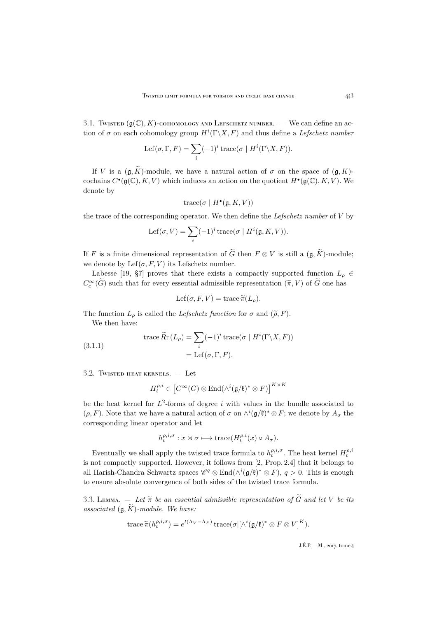<span id="page-9-1"></span>3.1. Twisted  $(g(\mathbb{C}), K)$ -cohomology and Lefschetz number.  $-$  We can define an action of  $\sigma$  on each cohomology group  $H^i(\Gamma \backslash X, F)$  and thus define a *Lefschetz number* 

$$
Lef(\sigma, \Gamma, F) = \sum_{i} (-1)^{i} \operatorname{trace}(\sigma \mid H^{i}(\Gamma \backslash X, F)).
$$

If V is a  $(\mathfrak{g}, \widetilde{K})$ -module, we have a natural action of  $\sigma$  on the space of  $(\mathfrak{g}, K)$ cochains  $C^{\bullet}(\mathfrak{g}(\mathbb{C}), K, V)$  which induces an action on the quotient  $H^{\bullet}(\mathfrak{g}(\mathbb{C}), K, V)$ . We denote by

$$
trace(\sigma \mid H^{\bullet}(\mathfrak{g}, K, V))
$$

the trace of the corresponding operator. We then define the *Lefschetz number* of V by

$$
Lef(\sigma, V) = \sum_{i} (-1)^{i} \operatorname{trace}(\sigma \mid H^{i}(\mathfrak{g}, K, V)).
$$

If F is a finite dimensional representation of  $\tilde{G}$  then  $F \otimes V$  is still a  $(\mathfrak{g}, \tilde{K})$ -module; we denote by  $\text{Lef}(\sigma, F, V)$  its Lefschetz number.

Labesse [\[19,](#page-37-4) §7] proves that there exists a compactly supported function  $L_p \in$  $C_c^{\infty}(\tilde{G})$  such that for every essential admissible representation  $(\tilde{\pi}, V)$  of  $\tilde{G}$  one has

$$
Lef(\sigma, F, V) = \text{trace } \widetilde{\pi}(L_{\rho}).
$$

The function  $L_{\rho}$  is called the *Lefschetz function* for  $\sigma$  and  $(\tilde{\rho}, F)$ .

We then have:

(3.1.1) 
$$
\operatorname{trace} \widetilde{R}_{\Gamma}(L_{\rho}) = \sum_{i} (-1)^{i} \operatorname{trace}(\sigma \mid H^{i}(\Gamma \backslash X, F))
$$

$$
= \operatorname{Lef}(\sigma, \Gamma, F).
$$

3.2. Twisted heat kernels. — Let

$$
H_t^{\rho,i}\in \left[C^\infty(G)\otimes \mathrm{End}(\wedge^i(\mathfrak{g}/\mathfrak{k})^*\otimes F)\right]^{K\times K}
$$

be the heat kernel for  $L^2$ -forms of degree i with values in the bundle associated to  $(\rho, F)$ . Note that we have a natural action of  $\sigma$  on  $\wedge^{i}(\mathfrak{g}/\mathfrak{k})^* \otimes F$ ; we denote by  $A_{\sigma}$  the corresponding linear operator and let

$$
h_t^{\rho,i,\sigma}: x \rtimes \sigma \longmapsto \text{trace}(H_t^{\rho,i}(x) \circ A_{\sigma}).
$$

Eventually we shall apply the twisted trace formula to  $h_t^{\rho,i,\sigma}$ . The heat kernel  $H_t^{\rho,i}$ is not compactly supported. However, it follows from [\[2,](#page-36-6) Prop. 2.4] that it belongs to all Harish-Chandra Schwartz spaces  $\mathscr{C}^q \otimes \text{End}(\wedge^i(\mathfrak{g}/\mathfrak{k})^* \otimes F)$ ,  $q > 0$ . This is enough to ensure absolute convergence of both sides of the twisted trace formula.

<span id="page-9-0"></span>3.3. Lemma.  $\overline{a}$  *Let*  $\tilde{\pi}$  *be an essential admissible representation of*  $\tilde{G}$  *and let* V *be its associated*  $(g, \widetilde{K})$ *-module. We have:* 

trace 
$$
\widetilde{\pi}(h_t^{\rho,i,\sigma}) = e^{t(\Lambda_V - \Lambda_F)} \operatorname{trace}(\sigma | [\Lambda^i(\mathfrak{g}/\mathfrak{k})^* \otimes F \otimes V]^K).
$$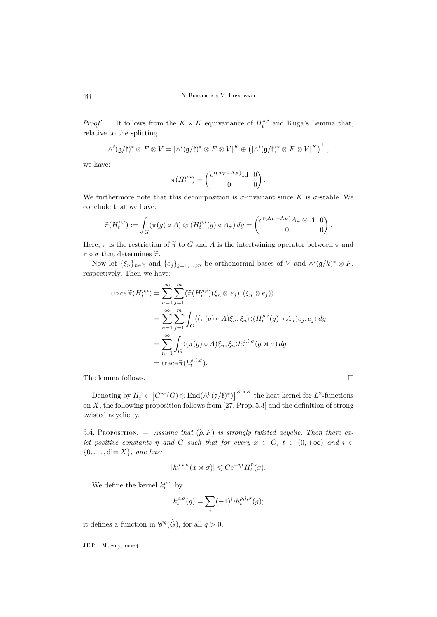*Proof.* – It follows from the  $K \times K$  equivariance of  $H_t^{\rho,i}$  and Kuga's Lemma that, relative to the splitting

$$
\wedge^i(\mathfrak{g}/\mathfrak{k})^*\otimes F\otimes V=[\wedge^i(\mathfrak{g}/\mathfrak{k})^*\otimes F\otimes V]^K\oplus ([\wedge^i(\mathfrak{g}/\mathfrak{k})^*\otimes F\otimes V]^K)^{\perp},
$$

we have:

$$
\pi(H_t^{\rho,i}) = \begin{pmatrix} e^{t(\Lambda_V - \Lambda_F)} \mathrm{Id} & 0\\ 0 & 0 \end{pmatrix}.
$$

We furthermore note that this decomposition is  $\sigma$ -invariant since K is  $\sigma$ -stable. We conclude that we have:

$$
\widetilde{\pi}(H_t^{\rho,i}) := \int_G (\pi(g) \circ A) \otimes (H_t^{\rho,i}(g) \circ A_\sigma) \, dg = \begin{pmatrix} e^{t(\Lambda_V - \Lambda_F)} A_\sigma \otimes A & 0 \\ 0 & 0 \end{pmatrix}.
$$

Here,  $\pi$  is the restriction of  $\widetilde{\pi}$  to G and A is the intertwining operator between  $\pi$  and  $\pi \circ \sigma$  that determines  $\widetilde{\pi}$ .

Now let  $\{\xi_n\}_{n\in\mathbb{N}}$  and  $\{e_j\}_{j=1,\dots,m}$  be orthonormal bases of V and  $\wedge^i(\mathfrak{g}/k)^* \otimes F$ , respectively. Then we have:

trace 
$$
\widetilde{\pi}(H_t^{\rho,i}) = \sum_{n=1}^{\infty} \sum_{j=1}^m \langle \widetilde{\pi}(H_t^{\rho,i})(\xi_n \otimes e_j), (\xi_n \otimes e_j) \rangle
$$
  
\n
$$
= \sum_{n=1}^{\infty} \sum_{j=1}^m \int_G \langle (\pi(g) \circ A)\xi_n, \xi_n \rangle \langle (H_t^{\rho,i}(g) \circ A_{\sigma})e_j, e_j \rangle dg
$$
\n
$$
= \sum_{n=1}^{\infty} \int_G \langle (\pi(g) \circ A)\xi_n, \xi_n \rangle h_t^{\rho,i,\sigma}(g \rtimes \sigma) dg
$$
\n
$$
= \text{trace } \widetilde{\pi}(h_t^{\rho,i,\sigma}).
$$

The lemma follows.  $\hfill\Box$ 

Denoting by  $H_t^0 \in [C^{\infty}(G) \otimes \text{End}(\wedge^0(\mathfrak{g}/\mathfrak{k})^*)]^{K \times K}$  the heat kernel for  $L^2$ -functions on X, the following proposition follows from [\[27,](#page-37-5) Prop. 5.3] and the definition of strong twisted acyclicity.

<span id="page-10-0"></span>3.4. Proposition.  $-$  *Assume that*  $(\tilde{\rho}, F)$  *is strongly twisted acyclic. Then there exist positive constants*  $\eta$  *and* C *such that for every*  $x \in G$ ,  $t \in (0, +\infty)$  *and*  $i \in$ {0, . . . , dim X}*, one has:*

$$
|h_t^{\rho,i,\sigma}(x \rtimes \sigma)| \leqslant Ce^{-\eta t}H_t^0(x).
$$

We define the kernel  $k^{\rho,\sigma}_t$  by

$$
k_t^{\rho,\sigma}(g)=\sum_i (-1)^i i h_t^{\rho,i,\sigma}(g);
$$

it defines a function in  $\mathscr{C}^q(\tilde{G})$ , for all  $q > 0$ .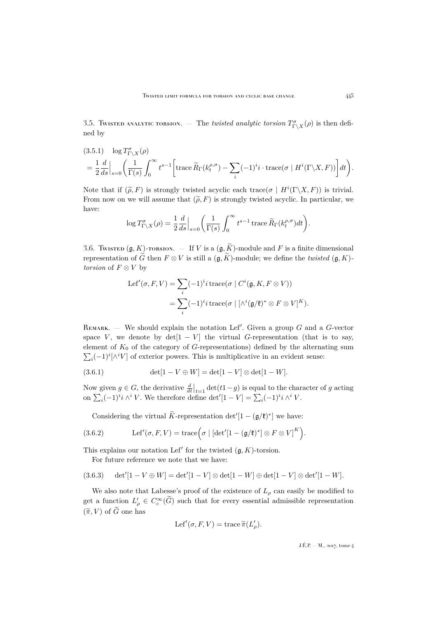3.5. Twisted analytic torsion  $T_{\Gamma \backslash X}^{\sigma}(\rho)$  is then defined by

<span id="page-11-0"></span>
$$
(3.5.1) \quad \log T_{\Gamma \backslash X}^{\sigma}(\rho)
$$
  
=  $\frac{1}{2} \frac{d}{ds}\Big|_{s=0} \left( \frac{1}{\Gamma(s)} \int_0^{\infty} t^{s-1} \left[ \operatorname{trace} \widetilde{R}_{\Gamma}(k_t^{\rho,\sigma}) - \sum_i (-1)^i i \cdot \operatorname{trace}(\sigma \mid H^i(\Gamma \backslash X, F)) \right] dt \right).$ 

Note that if  $(\tilde{\rho}, F)$  is strongly twisted acyclic each trace( $\sigma \mid H^{i}(\Gamma \backslash X, F)$ ) is trivial. From now on we will assume that  $(\widetilde{\rho}, F)$  is strongly twisted acyclic. In particular, we have:

$$
\log T_{\Gamma\setminus X}^{\sigma}(\rho) = \frac{1}{2} \frac{d}{ds}\Big|_{s=0} \left(\frac{1}{\Gamma(s)} \int_0^{\infty} t^{s-1} \operatorname{trace} \widetilde{R}_{\Gamma}(k_t^{\rho,\sigma}) dt\right).
$$

3.6. Twisted (g, K)-torsion. — If V is a  $(g, \widetilde{K})$ -module and F is a finite dimensional representation of  $\widetilde{G}$  then  $F \otimes V$  is still a  $(\mathfrak{g}, \widetilde{K})$ -module; we define the *twisted*  $(\mathfrak{g}, K)$ *torsion* of  $F \otimes V$  by

$$
\begin{aligned} \text{Lef}'(\sigma, F, V) &= \sum_{i} (-1)^{i} i \operatorname{trace}(\sigma \mid C^{i}(\mathfrak{g}, K, F \otimes V)) \\ &= \sum_{i} (-1)^{i} i \operatorname{trace}(\sigma \mid [\wedge^{i}(\mathfrak{g}/\mathfrak{k})^{*} \otimes F \otimes V]^{K}). \end{aligned}
$$

REMARK. – We should explain the notation Lef'. Given a group  $G$  and a  $G$ -vector space V, we denote by  $det[1 - V]$  the virtual G-representation (that is to say, element of  $K_0$  of the category of G-representations) defined by the alternating sum  $\sum_i (-1)^i [\wedge^i V]$  of exterior powers. This is multiplicative in an evident sense:

(3.6.1) 
$$
\det[1 - V \oplus W] = \det[1 - V] \otimes \det[1 - W].
$$

Now given  $g \in G$ , the derivative  $\frac{d}{dt}\Big|_{t=1} \det(t-1-g)$  is equal to the character of g acting on  $\sum_i (-1)^i i \wedge^i V$ . We therefore define  $\det'[1-V] = \sum_i (-1)^i i \wedge^i V$ .

<span id="page-11-1"></span>Considering the virtual  $\tilde{K}$ -representation det' $[1 - (\mathfrak{g}/\mathfrak{k})^*]$  we have:

(3.6.2) Let 
$$
'(\sigma, F, V) = \text{trace}(\sigma \mid [\det']1 - (\mathfrak{g}/\mathfrak{k})^*] \otimes F \otimes V]^K
$$
.

This explains our notation Lef' for the twisted  $(g, K)$ -torsion.

For future reference we note that we have:

<span id="page-11-2"></span>
$$
(3.6.3) \quad \det'[1 - V \oplus W] = \det'[1 - V] \otimes \det[1 - W] \oplus \det[1 - V] \otimes \det'[1 - W].
$$

We also note that Labesse's proof of the existence of  $L_p$  can easily be modified to get a function  $L'_{\rho} \in C_c^{\infty}(\tilde{G})$  such that for every essential admissible representation  $(\widetilde{\pi}, V)$  of  $\widetilde{G}$  one has

$$
Lef'(\sigma, F, V) = \operatorname{trace} \widetilde{\pi}(L'_{\rho}).
$$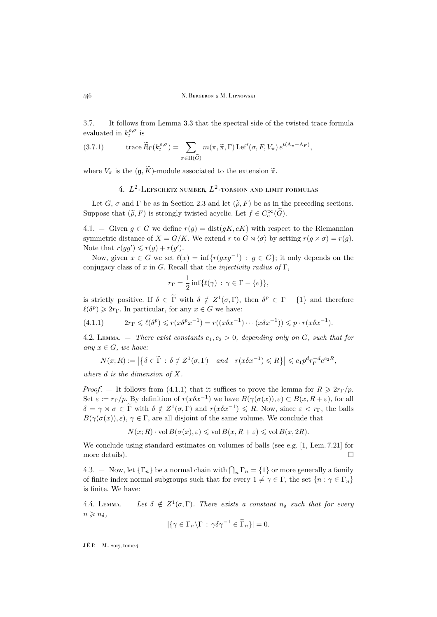3.7. — It follows from Lemma [3.3](#page-9-0) that the spectral side of the twisted trace formula evaluated in  $k_t^{\rho,\sigma}$  is

(3.7.1) 
$$
\operatorname{trace} \widetilde{R}_{\Gamma}(k_t^{\rho,\sigma}) = \sum_{\pi \in \Pi(\widetilde{G})} m(\pi,\widetilde{\pi},\Gamma) \operatorname{Lef}'(\sigma, F, V_{\pi}) e^{t(\Lambda_{\pi}-\Lambda_F)},
$$

<span id="page-12-0"></span>where  $V_{\pi}$  is the  $(\mathfrak{g}, \widetilde{K})$ -module associated to the extension  $\widetilde{\pi}$ .

# 4.  $L^2$ -Lefschetz number,  $L^2$ -torsion and limit formulas

Let G,  $\sigma$  and  $\Gamma$  be as in Section [2.3](#page-6-0) and let  $(\tilde{\rho}, F)$  be as in the preceding sections. Suppose that  $(\tilde{\rho}, F)$  is strongly twisted acyclic. Let  $f \in C_c^{\infty}(\tilde{G})$ .

4.1. – Given  $g \in G$  we define  $r(g) = \text{dist}(gK, eK)$  with respect to the Riemannian symmetric distance of  $X = G/K$ . We extend r to  $G \rtimes \langle \sigma \rangle$  by setting  $r(g \rtimes \sigma) = r(g)$ . Note that  $r(gg') \leqslant r(g) + r(g')$ .

Now, given  $x \in G$  we set  $\ell(x) = \inf \{ r(gxg^{-1}) : g \in G \}$ ; it only depends on the conjugacy class of x in G. Recall that the *injectivity radius of* Γ,

$$
r_{\Gamma} = \frac{1}{2} \inf \{ \ell(\gamma) \, : \, \gamma \in \Gamma - \{e\} \},
$$

is strictly positive. If  $\delta \in \Gamma$  with  $\delta \notin Z^1(\sigma, \Gamma)$ , then  $\delta^p \in \Gamma - \{1\}$  and therefore  $\ell(\delta^p) \geqslant 2r_{\Gamma}$ . In particular, for any  $x \in G$  we have:

<span id="page-12-2"></span>
$$
(4.1.1) \t 2r_{\Gamma} \leq \ell(\delta^p) \leq r(x\delta^p x^{-1}) = r((x\delta x^{-1})\cdots(x\delta x^{-1})) \leq p \cdot r(x\delta x^{-1}).
$$

<span id="page-12-3"></span>4.2. Lemma.  $-$  *There exist constants*  $c_1, c_2 > 0$ *, depending only on*  $G$ *, such that for*  $any x \in G$ *, we have:* 

$$
N(x;R) := \left| \left\{ \delta \in \widetilde{\Gamma} : \delta \notin Z^1(\sigma, \Gamma) \quad and \quad r(x\delta x^{-1}) \leq R \right\} \right| \leq c_1 p^d r_{\Gamma}^{-d} e^{c_2 R},
$$

*where* d *is the dimension of* X*.*

*Proof.* — It follows from [\(4.1.1\)](#page-12-2) that it suffices to prove the lemma for  $R \geq 2r\eta/p$ . Set  $\varepsilon := r_{\Gamma}/p$ . By definition of  $r(x \delta x^{-1})$  we have  $B(\gamma(\sigma(x)), \varepsilon) \subset B(x, R + \varepsilon)$ , for all  $\delta = \gamma \rtimes \sigma \in \widetilde{\Gamma}$  with  $\delta \notin Z^1(\sigma, \Gamma)$  and  $r(x\delta x^{-1}) \leq R$ . Now, since  $\varepsilon < r_{\Gamma}$ , the balls  $B(\gamma(\sigma(x)), \varepsilon)$ ,  $\gamma \in \Gamma$ , are all disjoint of the same volume. We conclude that

$$
N(x;R) \cdot \text{vol } B(\sigma(x),\varepsilon) \leqslant \text{vol } B(x,R+\varepsilon) \leqslant \text{vol } B(x,2R).
$$

We conclude using standard estimates on volumes of balls (see e.g. [\[1,](#page-36-7) Lem. 7.21] for more details).

<span id="page-12-1"></span>4.3. – Now, let  $\{\Gamma_n\}$  be a normal chain with  $\bigcap_n \Gamma_n = \{1\}$  or more generally a family of finite index normal subgroups such that for every  $1 \neq \gamma \in \Gamma$ , the set  $\{n : \gamma \in \Gamma_n\}$ is finite. We have:

<span id="page-12-4"></span>4.4. LEMMA.  $-$  Let  $\delta \notin Z^1(\sigma, \Gamma)$ . There exists a constant  $n_{\delta}$  such that for every  $n \geqslant n_{\delta}$ 

$$
|\{\gamma \in \Gamma_n \backslash \Gamma \,:\, \gamma \delta \gamma^{-1} \in \widetilde{\Gamma}_n\}| = 0.
$$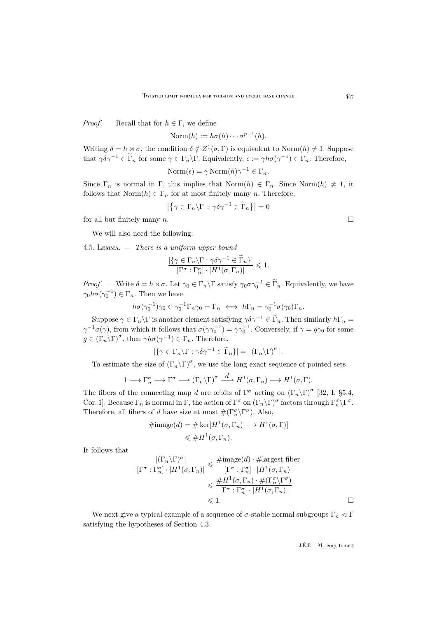*Proof.* — Recall that for  $h \in \Gamma$ , we define

Norm $(h) := h\sigma(h) \cdots \sigma^{p-1}(h)$ .

Writing  $\delta = h \rtimes \sigma$ , the condition  $\delta \notin Z^1(\sigma, \Gamma)$  is equivalent to Norm $(h) \neq 1$ . Suppose that  $\gamma \delta \gamma^{-1} \in \tilde{\Gamma}_n$  for some  $\gamma \in \Gamma_n \backslash \Gamma$ . Equivalently,  $\epsilon := \gamma h \sigma(\gamma^{-1}) \in \Gamma_n$ . Therefore,

$$
\text{Norm}(\epsilon) = \gamma \, \text{Norm}(h) \gamma^{-1} \in \Gamma_n.
$$

Since  $\Gamma_n$  is normal in  $\Gamma$ , this implies that  $\text{Norm}(h) \in \Gamma_n$ . Since  $\text{Norm}(h) \neq 1$ , it follows that  $\text{Norm}(h) \in \Gamma_n$  for at most finitely many n. Therefore,

$$
\left| \left\{ \gamma \in \Gamma_n \backslash \Gamma \, : \, \gamma \delta \gamma^{-1} \in \widetilde{\Gamma}_n \right\} \right| = 0
$$

for all but finitely many  $n$ .

We will also need the following:

<span id="page-13-0"></span>4.5. Lemma. — *There is a uniform upper bound*

$$
\frac{|\{\gamma \in \Gamma_n \backslash \Gamma : \gamma \delta \gamma^{-1} \in \widetilde{\Gamma}_n\}|}{[\Gamma^{\sigma} : \Gamma_n^{\sigma}] \cdot |H^1(\sigma, \Gamma_n)|} \leq 1.
$$

*Proof.* – Write  $\delta = h \rtimes \sigma$ . Let  $\gamma_0 \in \Gamma_n \backslash \Gamma$  satisfy  $\gamma_0 \sigma \gamma_0^{-1} \in \widetilde{\Gamma}_n$ . Equivalently, we have  $\gamma_0 h \sigma(\gamma_0^{-1}) \in \Gamma_n$ . Then we have

$$
h\sigma(\gamma_0^{-1})\gamma_0 \in \gamma_0^{-1}\Gamma_n\gamma_0 = \Gamma_n \iff h\Gamma_n = \gamma_0^{-1}\sigma(\gamma_0)\Gamma_n.
$$

Suppose  $\gamma \in \Gamma_n \backslash \Gamma$  is another element satisfying  $\gamma \delta \gamma^{-1} \in \widetilde{\Gamma}_n$ . Then similarly  $h\Gamma_n =$  $\gamma^{-1}\sigma(\gamma)$ , from which it follows that  $\sigma(\gamma\gamma_0^{-1}) = \gamma\gamma_0^{-1}$ . Conversely, if  $\gamma = g\gamma_0$  for some  $g \in (\Gamma_n \backslash \Gamma)^{\sigma}$ , then  $\gamma h \sigma(\gamma^{-1}) \in \Gamma_n$ . Therefore,

$$
|\{\gamma \in \Gamma_n \backslash \Gamma : \gamma \delta \gamma^{-1} \in \widetilde{\Gamma}_n\}| = |(\Gamma_n \backslash \Gamma)^{\sigma}|.
$$

To estimate the size of  $(\Gamma_n \backslash \Gamma)^{\sigma}$ , we use the long exact sequence of pointed sets

$$
1 \longrightarrow \Gamma_n^{\sigma} \longrightarrow \Gamma^{\sigma} \longrightarrow (\Gamma_n \backslash \Gamma)^{\sigma} \stackrel{d}{\longrightarrow} H^1(\sigma, \Gamma_n) \longrightarrow H^1(\sigma, \Gamma).
$$

The fibers of the connecting map d are orbits of  $\Gamma^{\sigma}$  acting on  $(\Gamma_n \backslash \Gamma)^{\sigma}$  [\[32,](#page-37-3) I, §5.4, Cor. 1]. Because  $\Gamma_n$  is normal in  $\Gamma$ , the action of  $\Gamma^{\sigma}$  on  $(\Gamma_n\backslash\Gamma)^{\sigma}$  factors through  $\Gamma_n^{\sigma}\backslash\Gamma^{\sigma}$ . Therefore, all fibers of d have size at most  $\#(\Gamma_n^{\sigma}\backslash\Gamma^{\sigma})$ . Also,

$$
\#image(d) = \# \ker[H^1(\sigma, \Gamma_n) \longrightarrow H^1(\sigma, \Gamma)]
$$
  

$$
\leq \#H^1(\sigma, \Gamma_n).
$$

It follows that

$$
\frac{|(\Gamma_n \backslash \Gamma)^{\sigma}|}{[\Gamma^{\sigma} : \Gamma_n^{\sigma}] \cdot |H^1(\sigma, \Gamma_n)|} \leq \frac{\#\text{image}(d) \cdot \#\text{largest fiber}}{[\Gamma^{\sigma} : \Gamma_n^{\sigma}] \cdot |H^1(\sigma, \Gamma_n)|} \\
\leq \frac{\#H^1(\sigma, \Gamma_n) \cdot \#(\Gamma_n^{\sigma} \backslash \Gamma^{\sigma})}{[\Gamma^{\sigma} : \Gamma_n^{\sigma}] \cdot |H^1(\sigma, \Gamma_n)|} \\
\leq 1.
$$

We next give a typical example of a sequence of  $\sigma$ -stable normal subgroups  $\Gamma_n \lhd \Gamma$ satisfying the hypotheses of Section [4.3.](#page-12-1)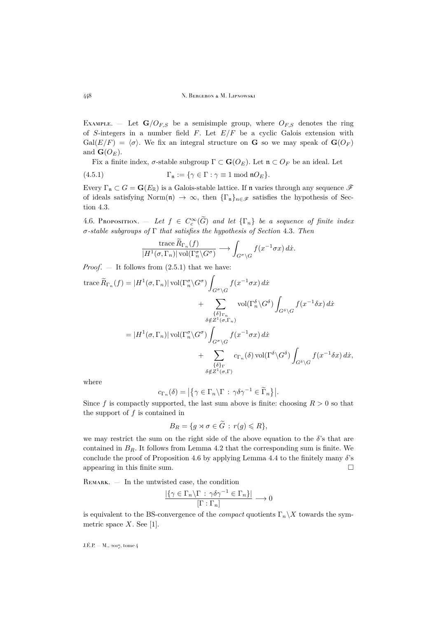EXAMPLE. – Let  $\mathbf{G}/O_{F,S}$  be a semisimple group, where  $O_{F,S}$  denotes the ring of S-integers in a number field  $F$ . Let  $E/F$  be a cyclic Galois extension with  $Gal(E/F) = \langle \sigma \rangle$ . We fix an integral structure on **G** so we may speak of  $\mathbf{G}(O_F)$ and  $\mathbf{G}(O_E)$ .

Fix a finite index,  $\sigma$ -stable subgroup  $\Gamma \subset \mathbf{G}(O_E)$ . Let  $\mathfrak{n} \subset O_F$  be an ideal. Let

(4.5.1) 
$$
\Gamma_{\mathfrak{n}} := \{ \gamma \in \Gamma : \gamma \equiv 1 \bmod{\mathfrak{n}} O_E \}.
$$

Every  $\Gamma_n \subset G = \mathbf{G}(E_\mathbb{R})$  is a Galois-stable lattice. If n varies through any sequence  $\mathscr{F}$ of ideals satisfying Norm $(\mathfrak{n}) \to \infty$ , then  $\{\Gamma_{\mathfrak{n}}\}_{n\in\mathscr{F}}$  satisfies the hypothesis of Section [4.3.](#page-12-1)

<span id="page-14-0"></span>4.6. PROPOSITION.  $-$  *Let*  $f \in C_c^{\infty}(\widetilde{G})$  *and let*  $\{\Gamma_n\}$  *be a sequence of finite index* σ*-stable subgroups of* Γ *that satisfies the hypothesis of Section* [4.3](#page-12-1)*. Then*

$$
\frac{\operatorname{trace} R_{\Gamma_n}(f)}{|H^1(\sigma,\Gamma_n)| \operatorname{vol}(\Gamma_n^{\sigma} \backslash G^{\sigma})} \longrightarrow \int_{G^{\sigma} \backslash G} f(x^{-1} \sigma x) dx.
$$

*Proof*. — It follows from [\(2.5.1\)](#page-8-2) that we have:

trace 
$$
\widetilde{R}_{\Gamma_n}(f) = |H^1(\sigma, \Gamma_n)| \operatorname{vol}(\Gamma_n^{\sigma} \setminus G^{\sigma}) \int_{G^{\sigma} \setminus G} f(x^{-1} \sigma x) dx
$$
  
  $+ \sum_{\{\delta\}_{\Gamma_n}} \operatorname{vol}(\Gamma_n^{\delta} \setminus G^{\delta}) \int_{G^{\delta} \setminus G} f(x^{-1} \delta x) dx$   
\n $\delta \notin Z^1(\sigma, \Gamma_n)$   
\n $= |H^1(\sigma, \Gamma_n)| \operatorname{vol}(\Gamma_n^{\sigma} \setminus G^{\sigma}) \int_{G^{\sigma} \setminus G} f(x^{-1} \sigma x) dx$   
\n $+ \sum_{\{\delta\}_{\Gamma_n}} c_{\Gamma_n}(\delta) \operatorname{vol}(\Gamma^{\delta} \setminus G^{\delta}) \int_{G^{\delta} \setminus G} f(x^{-1} \delta x) dx,$   
\n $\delta \notin Z^1(\sigma, \Gamma)$ 

where

$$
c_{\Gamma_n}(\delta) = |\{\gamma \in \Gamma_n \backslash \Gamma : \gamma \delta \gamma^{-1} \in \widetilde{\Gamma}_n\}|.
$$

Since f is compactly supported, the last sum above is finite: choosing  $R > 0$  so that the support of  $f$  is contained in

$$
B_R = \{ g \rtimes \sigma \in \widetilde{G} : r(g) \leq R \},\
$$

we may restrict the sum on the right side of the above equation to the  $\delta$ 's that are contained in  $B_R$ . It follows from Lemma [4.2](#page-12-3) that the corresponding sum is finite. We conclude the proof of Proposition [4.6](#page-14-0) by applying Lemma [4.4](#page-12-4) to the finitely many  $\delta$ 's appearing in this finite sum.  $\Box$ 

REMARK.  $-$  In the untwisted case, the condition

$$
\frac{|\{\gamma \in \Gamma_n \backslash \Gamma \, : \, \gamma \delta \gamma^{-1} \in \Gamma_n\}|}{[\Gamma : \Gamma_n]} \longrightarrow 0
$$

is equivalent to the BS-convergence of the *compact* quotients  $\Gamma_n \backslash X$  towards the symmetric space  $X$ . See [\[1\]](#page-36-7).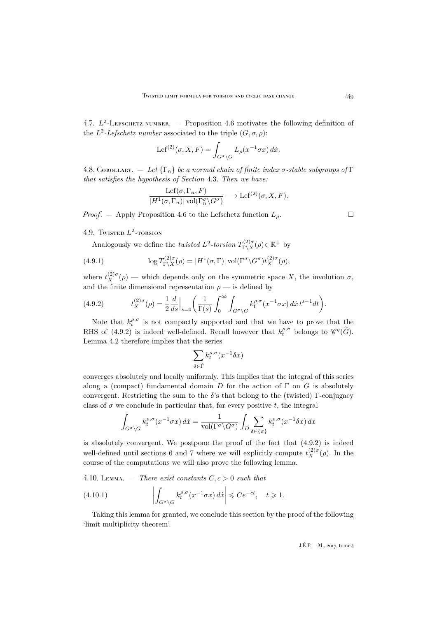4.7.  $L^2$ -Lefschetz number.  $-$  Proposition [4.6](#page-14-0) motivates the following definition of the  $L^2$ -Lefschetz number associated to the triple  $(G, \sigma, \rho)$ :

$$
Lef^{(2)}(\sigma, X, F) = \int_{G^{\sigma} \backslash G} L_{\rho}(x^{-1} \sigma x) dx.
$$

<span id="page-15-2"></span>4.8. Corollary.  $\mathcal{L} = \text{Let } {\{\Gamma_n\}}$  be a normal chain of finite index  $\sigma$ -stable subgroups of  $\Gamma$ *that satisfies the hypothesis of Section* [4.3](#page-12-1)*. Then we have:*

$$
\frac{\operatorname{Lef}(\sigma, \Gamma_n, F)}{|H^1(\sigma, \Gamma_n)| \operatorname{vol}(\Gamma_n^{\sigma} \backslash G^{\sigma})} \longrightarrow \operatorname{Lef}^{(2)}(\sigma, X, F).
$$

*Proof.* — Apply Proposition [4.6](#page-14-0) to the Lefschetz function  $L_{\rho}$ .

4.9. Twisted  $L^2$ -torsion

Analogously we define the *twisted*  $L^2$ -torsion  $T_{\Gamma\setminus X}^{(2)\sigma}$  $\Gamma(\chi^2)^\sigma(\rho) \in \mathbb{R}^+$  by

(4.9.1) 
$$
\log T_{\Gamma\setminus X}^{(2)\sigma}(\rho) = |H^1(\sigma, \Gamma)| \operatorname{vol}(\Gamma^{\sigma} \setminus G^{\sigma}) t_X^{(2)\sigma}(\rho),
$$

where  $t_X^{(2)\sigma}(\rho)$  — which depends only on the symmetric space X, the involution  $\sigma$ , and the finite dimensional representation  $\rho$  — is defined by

<span id="page-15-0"></span>(4.9.2) 
$$
t_X^{(2)\sigma}(\rho) = \frac{1}{2} \frac{d}{ds} \Big|_{s=0} \left( \frac{1}{\Gamma(s)} \int_0^\infty \int_{G^\sigma \setminus G} k_t^{\rho,\sigma} (x^{-1} \sigma x) \, dx \, t^{s-1} dt \right).
$$

Note that  $k_t^{\rho,\sigma}$  is not compactly supported and that we have to prove that the RHS of [\(4.9.2\)](#page-15-0) is indeed well-defined. Recall however that  $k_t^{\rho,\sigma}$  belongs to  $\mathscr{C}^q(\widetilde{G})$ . Lemma [4.2](#page-12-3) therefore implies that the series

$$
\sum_{\delta \in \widetilde{\Gamma}} k_t^{\rho,\sigma}(x^{-1}\delta x)
$$

converges absolutely and locally uniformly. This implies that the integral of this series along a (compact) fundamental domain D for the action of  $\Gamma$  on G is absolutely convergent. Restricting the sum to the  $\delta$ 's that belong to the (twisted) Γ-conjugacy class of  $\sigma$  we conclude in particular that, for every positive t, the integral

$$
\int_{G^{\sigma}\backslash G} k_t^{\rho,\sigma}(x^{-1}\sigma x) dx = \frac{1}{\text{vol}(\Gamma^{\sigma}\backslash G^{\sigma})} \int_D \sum_{\delta \in {\sigma}} k_t^{\rho,\sigma}(x^{-1}\delta x) dx
$$

is absolutely convergent. We postpone the proof of the fact that [\(4.9.2\)](#page-15-0) is indeed well-defined until sections 6 and 7 where we will explicitly compute  $t_X^{(2)\sigma}(\rho)$ . In the course of the computations we will also prove the following lemma.

<span id="page-15-1"></span>4.10. LEMMA.  $-$  *There exist constants*  $C, c > 0$  *such that* 

(4.10.1) 
$$
\left| \int_{G^{\sigma} \backslash G} k_t^{\rho,\sigma}(x^{-1}\sigma x) dx \right| \leqslant Ce^{-ct}, \quad t \geqslant 1.
$$

Taking this lemma for granted, we conclude this section by the proof of the following 'limit multiplicity theorem'.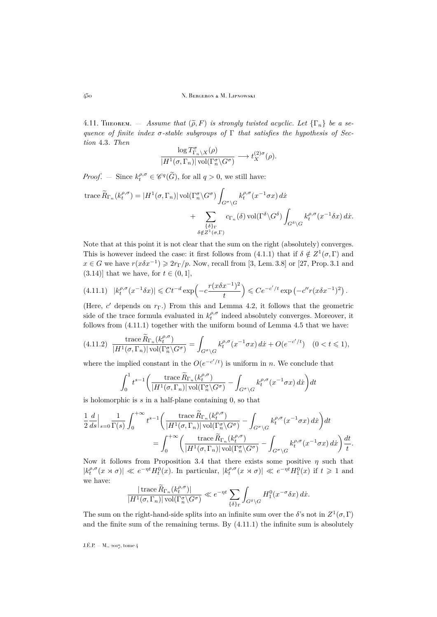<span id="page-16-2"></span>4.11. THEOREM.  $-$  *Assume that*  $(\tilde{\rho}, F)$  *is strongly twisted acyclic. Let*  $\{\Gamma_n\}$  *be a sequence of finite index* σ*-stable subgroups of* Γ *that satisfies the hypothesis of Section* [4.3](#page-12-1)*. Then*

$$
\frac{\log T^{\sigma}_{\Gamma_n\backslash X}(\rho)}{|H^1(\sigma,\Gamma_n)|\operatorname{vol}(\Gamma^{\sigma}_n\backslash G^{\sigma})}\longrightarrow t_X^{(2)\sigma}(\rho).
$$

*Proof.* – Since  $k_t^{\rho,\sigma} \in \mathscr{C}^q(\widetilde{G})$ , for all  $q > 0$ , we still have:

trace 
$$
\widetilde{R}_{\Gamma_n}(k_t^{\rho,\sigma}) = |H^1(\sigma, \Gamma_n)| \operatorname{vol}(\Gamma_n^{\sigma} \backslash G^{\sigma}) \int_{G^{\sigma} \backslash G} k_t^{\rho,\sigma}(x^{-1}\sigma x) dx
$$
  
 
$$
+ \sum_{\{\delta\}_{\Gamma}} c_{\Gamma_n}(\delta) \operatorname{vol}(\Gamma^{\delta} \backslash G^{\delta}) \int_{G^{\delta} \backslash G} k_t^{\rho,\sigma}(x^{-1}\delta x) dx.
$$
  

$$
\delta \notin Z^1(\sigma, \Gamma)
$$

Note that at this point it is not clear that the sum on the right (absolutely) converges. This is however indeed the case: it first follows from [\(4.1.1\)](#page-12-2) that if  $\delta \notin Z^1(\sigma, \Gamma)$  and  $x \in G$  we have  $r(x\delta x^{-1}) \geqslant 2r_{\Gamma}/p$ . Now, recall from [\[3,](#page-36-0) Lem. 3.8] or [\[27,](#page-37-5) Prop. 3.1 and  $(3.14)$ ] that we have, for  $t \in (0,1]$ ,

<span id="page-16-0"></span>
$$
(4.11.1) \quad |k_t^{\rho,\sigma}(x^{-1}\delta x)| \leq C t^{-d} \exp\left(-c\frac{r(x\delta x^{-1})^2}{t}\right) \leq C e^{-c'/t} \exp\left(-c''r(x\delta x^{-1})^2\right).
$$

(Here,  $c'$  depends on  $r_{\Gamma}$ .) From this and Lemma [4.2,](#page-12-3) it follows that the geometric side of the trace formula evaluated in  $k_t^{\rho,\sigma}$  indeed absolutely converges. Moreover, it follows from [\(4.11.1\)](#page-16-0) together with the uniform bound of Lemma [4.5](#page-13-0) that we have:

<span id="page-16-1"></span>
$$
(4.11.2)\quad \frac{\text{trace }\widetilde{R}_{\Gamma_n}(k_t^{\rho,\sigma})}{|H^1(\sigma,\Gamma_n)|\,\text{vol}(\Gamma_n^{\sigma}\backslash G^{\sigma})} = \int_{G^{\sigma}\backslash G} k_t^{\rho,\sigma}(x^{-1}\sigma x)\,dx + O(e^{-c'/t}) \quad (0 < t \leq 1),
$$

where the implied constant in the  $O(e^{-c'/t})$  is uniform in n. We conclude that

$$
\int_0^1 t^{s-1} \bigg( \frac{\text{trace } \widetilde{R}_{\Gamma_n}(k_t^{\rho,\sigma})}{|H^1(\sigma,\Gamma_n)| \operatorname{vol}(\Gamma_n^{\sigma} \backslash G^{\sigma})} - \int_{G^{\sigma} \backslash G} k_t^{\rho,\sigma}(x^{-1}\sigma x) \, dx \bigg) dt
$$

is holomorphic is  $s$  in a half-plane containing  $0$ , so that

$$
\frac{1}{2}\frac{d}{ds}\Big|_{s=0}\frac{1}{\Gamma(s)}\int_0^{+\infty}t^{s-1}\bigg(\frac{\operatorname{trace}\widetilde{R}_{\Gamma_n}(k_t^{\rho,\sigma})}{|H^1(\sigma,\Gamma_n)|\operatorname{vol}(\Gamma_n^{\sigma}\backslash G^{\sigma})} - \int_{G^{\sigma}\backslash G}k_t^{\rho,\sigma}(x^{-1}\sigma x)\,dx\bigg)dt
$$

$$
= \int_0^{+\infty}\bigg(\frac{\operatorname{trace}\widetilde{R}_{\Gamma_n}(k_t^{\rho,\sigma})}{|H^1(\sigma,\Gamma_n)|\operatorname{vol}(\Gamma_n^{\sigma}\backslash G^{\sigma})} - \int_{G^{\sigma}\backslash G}k_t^{\rho,\sigma}(x^{-1}\sigma x)\,dx\bigg)\frac{dt}{t}.
$$

Now it follows from Proposition [3.4](#page-10-0) that there exists some positive  $\eta$  such that  $|k_t^{\rho,\sigma}(x \times \sigma)| \ll e^{-\eta t} H_t^0(x)$ . In particular,  $|k_t^{\rho,\sigma}(x \times \sigma)| \ll e^{-\eta t} H_1^0(x)$  if  $t \geq 1$  and we have:

$$
\frac{|\operatorname{trace} \widetilde{R}_{\Gamma_n}(k_t^{\rho,\sigma})|}{|H^1(\sigma,\Gamma_n)| \operatorname{vol}(\Gamma_n^{\sigma} \backslash G^{\sigma})} \ll e^{-\eta t} \sum_{\{\delta\}_{\Gamma}} \int_{G^{\delta} \backslash G} H_1^0(x^{-\sigma} \delta x) \, dx.
$$

The sum on the right-hand-side splits into an infinite sum over the  $\delta$ 's not in  $Z^1(\sigma,\Gamma)$ and the finite sum of the remaining terms. By [\(4.11.1\)](#page-16-0) the infinite sum is absolutely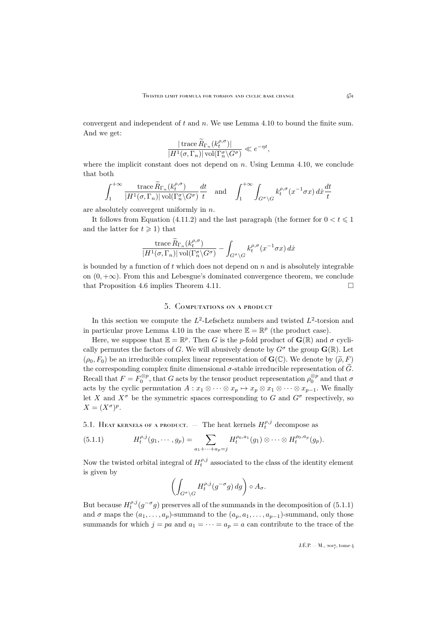convergent and independent of  $t$  and  $n$ . We use Lemma [4.10](#page-15-1) to bound the finite sum. And we get:

$$
\frac{|\operatorname{trace} \widetilde{R}_{\Gamma_n}(k_t^{\rho,\sigma})|}{|H^1(\sigma,\Gamma_n)|\operatorname{vol}(\Gamma_n^{\sigma}\backslash G^{\sigma})} \ll e^{-\eta t},
$$

where the implicit constant does not depend on  $n$ . Using Lemma [4.10,](#page-15-1) we conclude that both

$$
\int_{1}^{+\infty} \frac{\operatorname{trace} \widetilde{R}_{\Gamma_n}(k_t^{\rho,\sigma})}{|H^1(\sigma,\Gamma_n)| \operatorname{vol}(\Gamma_n^{\sigma} \backslash G^{\sigma})} \frac{dt}{t} \quad \text{and} \quad \int_{1}^{+\infty} \int_{G^{\sigma} \backslash G} k_t^{\rho,\sigma}(x^{-1}\sigma x) \, dx \frac{dt}{t}
$$

are absolutely convergent uniformly in n.

It follows from Equation [\(4.11.2\)](#page-16-1) and the last paragraph (the former for  $0 < t \leq 1$ ) and the latter for  $t \geq 1$ ) that

$$
\frac{\operatorname{trace} \widetilde{R}_{\Gamma_n}(k_t^{\rho,\sigma})}{|H^1(\sigma,\Gamma_n)|\operatorname{vol}(\Gamma^\sigma_n\backslash G^\sigma)} - \int_{G^\sigma\backslash G} k_t^{\rho,\sigma}(x^{-1}\sigma x) \, dx
$$

is bounded by a function of  $t$  which does not depend on  $n$  and is absolutely integrable on  $(0, +\infty)$ . From this and Lebesgue's dominated convergence theorem, we conclude that Proposition [4.6](#page-14-0) implies Theorem [4.11.](#page-16-2)

### 5. Computations on a product

<span id="page-17-0"></span>In this section we compute the  $L^2$ -Lefschetz numbers and twisted  $L^2$ -torsion and in particular prove Lemma [4.10](#page-15-1) in the case where  $\mathbb{E} = \mathbb{R}^p$  (the product case).

Here, we suppose that  $\mathbb{E} = \mathbb{R}^p$ . Then G is the p-fold product of  $\mathbf{G}(\mathbb{R})$  and  $\sigma$  cyclically permutes the factors of G. We will abusively denote by  $G^{\sigma}$  the group  $\mathbf{G}(\mathbb{R})$ . Let  $(\rho_0, F_0)$  be an irreducible complex linear representation of  $\mathbf{G}(\mathbb{C})$ . We denote by  $(\widetilde{\rho}, F)$ the corresponding complex finite dimensional  $\sigma$ -stable irreducible representation of  $\widetilde{G}$ . Recall that  $F = F_0^{\otimes p}$ , that G acts by the tensor product representation  $\rho_0^{\otimes p}$  and that  $\sigma$ acts by the cyclic permutation  $A: x_1 \otimes \cdots \otimes x_p \mapsto x_p \otimes x_1 \otimes \cdots \otimes x_{p-1}$ . We finally let X and  $X^{\sigma}$  be the symmetric spaces corresponding to G and  $G^{\sigma}$  respectively, so  $X = (X^{\sigma})^p.$ 

5.1. Heat kernels of a product.  $-$  The heat kernels  $H_t^{\rho,j}$  decompose as

<span id="page-17-1"></span>(5.1.1) 
$$
H_t^{\rho,j}(g_1,\dots,g_p) = \sum_{a_1+\dots+a_p=j} H_t^{\rho_0,a_1}(g_1) \otimes \dots \otimes H_t^{\rho_0,a_p}(g_p).
$$

Now the twisted orbital integral of  $H_t^{\rho,j}$  associated to the class of the identity element is given by

$$
\left(\int_{G^{\sigma}\backslash G} H_t^{\rho,j}(g^{-\sigma}g)\,dg\right)\circ A_{\sigma}.
$$

But because  $H_t^{\rho,j}(g^{-\sigma}g)$  preserves all of the summands in the decomposition of  $(5.1.1)$ and  $\sigma$  maps the  $(a_1, \ldots, a_p)$ -summand to the  $(a_p, a_1, \ldots, a_{p-1})$ -summand, only those summands for which  $j = pa$  and  $a_1 = \cdots = a_p = a$  can contribute to the trace of the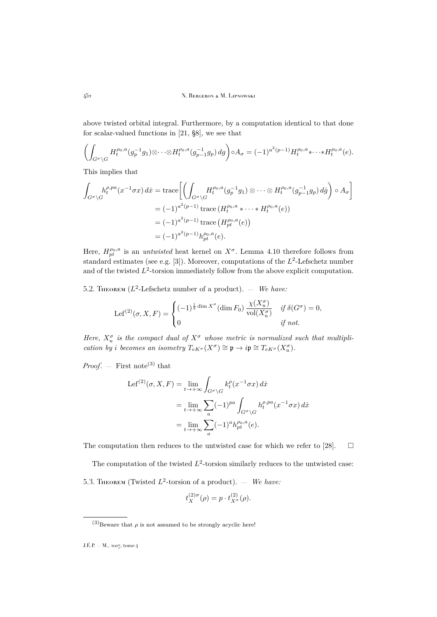above twisted orbital integral. Furthermore, by a computation identical to that done for scalar-valued functions in [\[21,](#page-37-6) §8], we see that

$$
\left(\int_{G^{\sigma}\backslash G} H_t^{\rho_0,a}(g_p^{-1}g_1)\otimes \cdots \otimes H_t^{\rho_0,a}(g_{p-1}^{-1}g_p) \, dg\right) \circ A_{\sigma} = (-1)^{a^2(p-1)} H_t^{\rho_0,a} \ast \cdots \ast H_t^{\rho_0,a}(e).
$$

This implies that

$$
\int_{G^{\sigma}\backslash G} h_t^{\rho,pa}(x^{-1}\sigma x) dx = \text{trace}\bigg[\bigg(\int_{G^{\sigma}\backslash G} H_t^{\rho_0,a}(g_p^{-1}g_1) \otimes \cdots \otimes H_t^{\rho_0,a}(g_{p-1}^{-1}g_p) d\dot{g}\bigg) \circ A_{\sigma}\bigg]
$$
  
\n
$$
= (-1)^{a^2(p-1)} \text{trace}\left(H_t^{\rho_0,a} * \cdots * H_t^{\rho_0,a}(e)\right)
$$
  
\n
$$
= (-1)^{a^2(p-1)} \text{trace}\left(H_{pt}^{\rho_0,a}(e)\right)
$$
  
\n
$$
= (-1)^{a^2(p-1)} h_{pt}^{\rho_0,a}(e).
$$

Here,  $H_{pt}^{\rho_0, a}$  is an *untwisted* heat kernel on  $X^{\sigma}$ . Lemma [4.10](#page-15-1) therefore follows from standard estimates (see e.g. [\[3\]](#page-36-0)). Moreover, computations of the  $L^2$ -Lefschetz number and of the twisted  $L^2$ -torsion immediately follow from the above explicit computation.

<span id="page-18-0"></span>5.2. THEOREM  $(L^2$ -Lefschetz number of a product).  $-$  *We have:* 

$$
\text{Lef}^{(2)}(\sigma, X, F) = \begin{cases} (-1)^{\frac{1}{2}\dim X^{\sigma}}(\dim F_0) \frac{\chi(X_u^{\sigma})}{\text{vol}(X_u^{\sigma})} & \text{if } \delta(G^{\sigma}) = 0, \\ 0 & \text{if not.} \end{cases}
$$

Here,  $X_u^{\sigma}$  is the compact dual of  $X^{\sigma}$  whose metric is normalized such that multipli*cation by i becomes an isometry*  $T_{eK^{\sigma}}(X^{\sigma}) \cong \mathfrak{p} \to i\mathfrak{p} \cong T_{eK^{\sigma}}(X_u^{\sigma})$ .

*Proof.* — First note<sup>(3)</sup> that

$$
Lef^{(2)}(\sigma, X, F) = \lim_{t \to +\infty} \int_{G^{\sigma} \backslash G} k_t^{\rho} (x^{-1} \sigma x) dx
$$
  
= 
$$
\lim_{t \to +\infty} \sum_a (-1)^{p a} \int_{G^{\sigma} \backslash G} h_t^{\rho, p a} (x^{-1} \sigma x) dx
$$
  
= 
$$
\lim_{t \to +\infty} \sum_a (-1)^a h_{pt}^{\rho_0, a} (e).
$$

The computation then reduces to the untwisted case for which we refer to [\[28\]](#page-37-7).  $\Box$ 

<span id="page-18-1"></span>The computation of the twisted  $L^2$ -torsion similarly reduces to the untwisted case: 5.3. THEOREM (Twisted  $L^2$ -torsion of a product).  $-$  *We have:* 

$$
t_X^{(2)\sigma}(\rho) = p \cdot t_{X^{\sigma}}^{(2)}(\rho).
$$

<sup>(3)</sup>Beware that  $\rho$  is not assumed to be strongly acyclic here!

 $J.E.P. - M., 2017,$  tome 4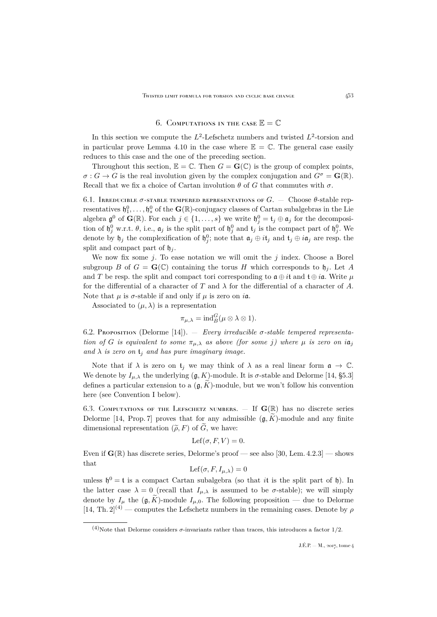#### 6. COMPUTATIONS IN THE CASE  $\mathbb{E} = \mathbb{C}$

<span id="page-19-0"></span>In this section we compute the  $L^2$ -Lefschetz numbers and twisted  $L^2$ -torsion and in particular prove Lemma [4.10](#page-15-1) in the case where  $\mathbb{E} = \mathbb{C}$ . The general case easily reduces to this case and the one of the preceding section.

Throughout this section,  $\mathbb{E} = \mathbb{C}$ . Then  $G = \mathbf{G}(\mathbb{C})$  is the group of complex points,  $\sigma: G \to G$  is the real involution given by the complex conjugation and  $G^{\sigma} = \mathbf{G}(\mathbb{R})$ . Recall that we fix a choice of Cartan involution  $\theta$  of G that commutes with  $\sigma$ .

6.1. IRREDUCIBLE  $\sigma$ -stable tempered representations of  $G$ .  $-$  Choose  $\theta$ -stable representatives  $\mathfrak{h}_1^0, \ldots, \mathfrak{h}_s^0$  of the  $\mathbf{G}(\mathbb{R})$ -conjugacy classes of Cartan subalgebras in the Lie algebra  $\mathfrak{g}^0$  of  $\mathbf{G}(\mathbb{R})$ . For each  $j \in \{1,\ldots,s\}$  we write  $\mathfrak{h}_j^0 = \mathfrak{t}_j \oplus \mathfrak{a}_j$  for the decomposition of  $\mathfrak{h}^0_j$  w.r.t.  $\theta$ , i.e.,  $\mathfrak{a}_j$  is the split part of  $\mathfrak{h}^0_j$  and  $\mathfrak{t}_j$  is the compact part of  $\mathfrak{h}^0_j$ . We denote by  $\mathfrak{h}_j$  the complexification of  $\mathfrak{h}_j^0$ ; note that  $\mathfrak{a}_j \oplus i\mathfrak{t}_j$  and  $\mathfrak{t}_j \oplus i\mathfrak{a}_j$  are resp. the split and compact part of  $\mathfrak{h}_i$ .

We now fix some j. To ease notation we will omit the j index. Choose a Borel subgroup B of  $G = \mathbf{G}(\mathbb{C})$  containing the torus H which corresponds to  $\mathfrak{h}_i$ . Let A and T be resp. the split and compact tori corresponding to  $\mathfrak{a} \oplus \mathfrak{i} \mathfrak{t}$  and  $\mathfrak{t} \oplus \mathfrak{i} \mathfrak{a}$ . Write  $\mu$ for the differential of a character of T and  $\lambda$  for the differential of a character of A. Note that  $\mu$  is  $\sigma$ -stable if and only if  $\mu$  is zero on  $i\mathfrak{a}$ .

Associated to  $(\mu, \lambda)$  is a representation

$$
\pi_{\mu,\lambda} = \mathrm{ind}_B^G(\mu \otimes \lambda \otimes 1).
$$

<span id="page-19-1"></span>6.2. Proposition (Delorme [\[14\]](#page-36-3)). — *Every irreducible* σ*-stable tempered representation of* G *is equivalent to some*  $\pi_{\mu,\lambda}$  *as above (for some j) where*  $\mu$  *is zero on*  $i\mathfrak{a}_j$ and  $\lambda$  *is zero on*  $t_i$  *and has pure imaginary image.* 

Note that if  $\lambda$  is zero on  $\mathfrak{t}_i$  we may think of  $\lambda$  as a real linear form  $\mathfrak{a} \to \mathbb{C}$ . We denote by  $I_{\mu,\lambda}$  the underlying  $(\mathfrak{g}, K)$ -module. It is  $\sigma$ -stable and Delorme [\[14,](#page-36-3) §5.3] defines a particular extension to a  $(\mathfrak{g}, K)$ -module, but we won't follow his convention here (see Convention I below).

6.3. COMPUTATIONS OF THE LEFSCHETZ NUMBERS.  $-$  If  $\mathbf{G}(\mathbb{R})$  has no discrete series Delorme [\[14,](#page-36-3) Prop. 7] proves that for any admissible  $(\mathfrak{g}, \tilde{K})$ -module and any finite dimensional representation  $(\tilde{\rho}, F)$  of  $\tilde{G}$ , we have:

$$
Lef(\sigma, F, V) = 0.
$$

Even if  $\mathbf{G}(\mathbb{R})$  has discrete series, Delorme's proof — see also [\[30,](#page-37-1) Lem. 4.2.3] — shows that

$$
Lef(\sigma, F, I_{\mu,\lambda}) = 0
$$

unless  $\mathfrak{h}^0 = \mathfrak{t}$  is a compact Cartan subalgebra (so that *i*t is the split part of  $\mathfrak{h}$ ). In the latter case  $\lambda = 0$  (recall that  $I_{\mu,\lambda}$  is assumed to be  $\sigma$ -stable); we will simply denote by  $I_{\mu}$  the  $(\mathfrak{g}, K)$ -module  $I_{\mu,0}$ . The following proposition — due to Delorme  $[14, Th. 2]^{(4)}$  $[14, Th. 2]^{(4)}$  — computes the Lefschetz numbers in the remaining cases. Denote by  $\rho$ 

<sup>(4)</sup>Note that Delorme considers  $\sigma$ -invariants rather than traces, this introduces a factor 1/2.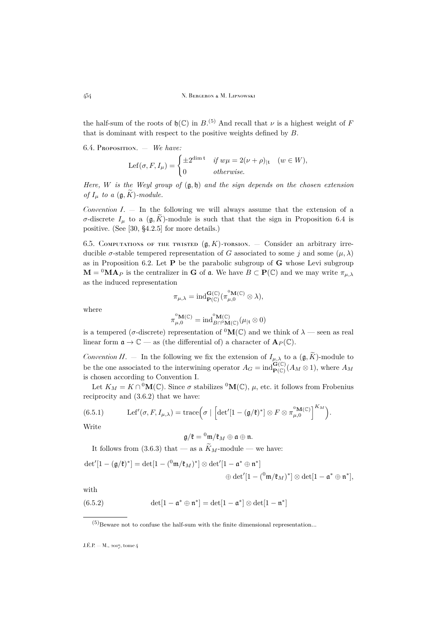the half-sum of the roots of  $\mathfrak{h}(\mathbb{C})$  in  $B^{(5)}$ . And recall that  $\nu$  is a highest weight of F that is dominant with respect to the positive weights defined by  $B$ .

<span id="page-20-0"></span>6.4. Proposition. — *We have:*

$$
\text{Lef}(\sigma, F, I_{\mu}) = \begin{cases} \pm 2^{\dim \mathfrak{t}} & \text{if } w\mu = 2(\nu + \rho)_{|\mathfrak{t}} \quad (w \in W), \\ 0 & \text{otherwise.} \end{cases}
$$

*Here,* W *is the Weyl group of* (g, h) *and the sign depends on the chosen extension of*  $I_{\mu}$  *to a*  $(\mathfrak{g}, K)$ *-module.* 

*Convention I*. — In the following we will always assume that the extension of a σ-discrete  $I<sub>μ</sub>$  to a ( $\mathfrak{g}, K$ )-module is such that that the sign in Proposition [6.4](#page-20-0) is positive. (See [\[30,](#page-37-1) §4.2.5] for more details.)

6.5. COMPUTATIONS OF THE TWISTED  $(g, K)$ -TORSION. — Consider an arbitrary irreducible  $\sigma$ -stable tempered representation of G associated to some j and some  $(\mu, \lambda)$ as in Proposition [6.2.](#page-19-1) Let  $P$  be the parabolic subgroup of  $G$  whose Levi subgroup  $\mathbf{M} = {}^{0}\mathbf{M}\mathbf{A}_P$  is the centralizer in **G** of **a**. We have  $B \subset \mathbf{P}(\mathbb{C})$  and we may write  $\pi_{\mu,\lambda}$ as the induced representation

$$
\pi_{\mu,\lambda} = \mathrm{ind}_{\mathbf{P}(\mathbb{C})}^{\mathbf{G}(\mathbb{C})}(\pi_{\mu,0}^{^0\mathbf{M}(\mathbb{C})}\otimes\lambda),
$$

where

$$
\pi_{\mu,0}^{^{0}\mathbf{M}(\mathbb{C})} = \mathrm{ind}_{B\cap^{0}\mathbf{M}(\mathbb{C})}^{^{0}\mathbf{M}(\mathbb{C})}(\mu_{|\mathfrak{t}}\otimes 0)
$$

is a tempered ( $\sigma$ -discrete) representation of <sup>0</sup>M(C) and we think of  $\lambda$  — seen as real linear form  $\mathfrak{a} \to \mathbb{C}$  — as (the differential of) a character of  $\mathbf{A}_P(\mathbb{C})$ .

*Convention II.* – In the following we fix the extension of  $I_{\mu,\lambda}$  to a  $(\mathfrak{g}, \widetilde{K})$ -module to be the one associated to the interwining operator  $A_G = \text{ind}_{\mathbf{P}(\mathbb{C})}^{\mathbf{G}(\mathbb{C})}(A_M \otimes 1)$ , where  $A_M$ is chosen according to Convention I.

Let  $K_M = K \cap {}^0{\bf M}(\mathbb{C})$ . Since  $\sigma$  stabilizes  ${}^0{\bf M}(\mathbb{C})$ ,  $\mu$ , etc. it follows from Frobenius reciprocity and [\(3.6.2\)](#page-11-1) that we have:

<span id="page-20-1"></span>(6.5.1) Let 
$$
'(\sigma, F, I_{\mu,\lambda}) = \text{trace}\left(\sigma \mid \left[\det'[1 - (\mathfrak{g}/\mathfrak{k})^*] \otimes F \otimes \pi_{\mu,0}^{^0\mathbf{M}(\mathbb{C})}\right]^{K_M}\right).
$$

Write

$$
\mathfrak{g}/\mathfrak{k}={}^0\mathfrak{m}/\mathfrak{k}_M\oplus\mathfrak{a}\oplus\mathfrak{n}.
$$

It follows from [\(3.6.3\)](#page-11-2) that — as a  $\widetilde{K}_M$ -module — we have:

$$
\begin{aligned} \det'[1-(\mathfrak{g}/\mathfrak{k})^*] &= \det[1-(^0\mathfrak{m}/\mathfrak{k}_M)^*] \otimes \det'[1-\mathfrak{a}^* \oplus \mathfrak{n}^*] \\ & \quad \oplus \det'[1-(^0\mathfrak{m}/\mathfrak{k}_M)^*] \otimes \det[1-\mathfrak{a}^* \oplus \mathfrak{n}^*], \end{aligned}
$$

with

(6.5.2) 
$$
\det[1-\mathfrak{a}^*\oplus\mathfrak{n}^*]=\det[1-\mathfrak{a}^*]\otimes\det[1-\mathfrak{n}^*]
$$

 $(5)$ Beware not to confuse the half-sum with the finite dimensional representation...

J.É.P. — M., 2017, tome 4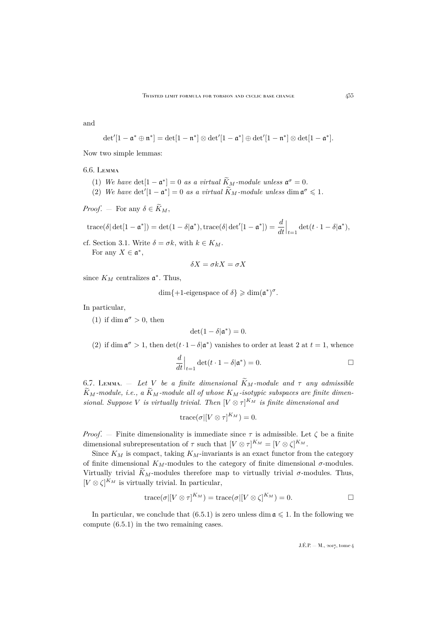and

$$
\det'[1-\mathfrak{a}^*\oplus \mathfrak{n}^*]=\det[1-\mathfrak{n}^*]\otimes \det'[1-\mathfrak{a}^*]\oplus \det'[1-\mathfrak{n}^*]\otimes \det[1-\mathfrak{a}^*].
$$

Now two simple lemmas:

#### <span id="page-21-0"></span>6.6. Lemma

- (1) We have  $det[1 \mathfrak{a}^*] = 0$  *as a virtual*  $\widetilde{K}_M$ -module unless  $\mathfrak{a}^{\sigma} = 0$ .
- (2) We have  $\det'[1 \mathfrak{a}^*] = 0$  as a virtual  $\widetilde{K}_M$ -module unless  $\dim \mathfrak{a}^{\sigma} \leq 1$ .

*Proof.* — For any  $\delta \in \widetilde{K}_M$ ,

$$
\operatorname{trace}(\delta|\det[1-\mathfrak{a}^*])=\det(1-\delta|\mathfrak{a}^*),\operatorname{trace}(\delta|\det'[1-\mathfrak{a}^*])=\frac{d}{dt}\Big|_{t=1}\det(t\cdot 1-\delta|\mathfrak{a}^*),
$$

cf. Section [3.1.](#page-9-1) Write  $\delta = \sigma k$ , with  $k \in K_M$ . For any  $X \in \mathfrak{a}^*$ ,

$$
\delta X = \sigma k X = \sigma X
$$

since  $K_M$  centralizes  $\mathfrak{a}^*$ . Thus,

$$
\dim\{+1\text{-eigenspace of }\delta\} \geqslant \dim(\mathfrak{a}^*)^{\sigma}.
$$

In particular,

(1) if dim  $\mathfrak{a}^{\sigma} > 0$ , then

$$
\det(1-\delta|\mathfrak{a}^*)=0.
$$

(2) if dim  $\mathfrak{a}^{\sigma} > 1$ , then  $\det(t \cdot 1 - \delta | \mathfrak{a}^*)$  vanishes to order at least 2 at  $t = 1$ , whence

$$
\frac{d}{dt}\Big|_{t=1} \det(t \cdot 1 - \delta | \mathfrak{a}^*) = 0.
$$

<span id="page-21-1"></span>6.7. Lemma. – Let V be a finite dimensional  $\widetilde{K}_M$ -module and  $\tau$  any admissible  $\widetilde{K}_M$ -module, i.e., a  $\widetilde{K}_M$ -module all of whose  $K_M$ -isotypic subspaces are finite dimen*sional. Suppose V is virtually trivial. Then*  $[V \otimes \tau]^{K_M}$  *is finite dimensional and* 

$$
\operatorname{trace}(\sigma|[V \otimes \tau]^{K_M}) = 0.
$$

*Proof.* – Finite dimensionality is immediate since  $\tau$  is admissible. Let  $\zeta$  be a finite dimensional subrepresentation of  $\tau$  such that  $[V \otimes \tau]^{K_M} = [V \otimes \zeta]^{K_M}$ .

Since  $K_M$  is compact, taking  $K_M$ -invariants is an exact functor from the category of finite dimensional  $K_M$ -modules to the category of finite dimensional  $\sigma$ -modules. Virtually trivial  $\widetilde{K}_M$ -modules therefore map to virtually trivial  $\sigma$ -modules. Thus,  $[V \otimes \zeta]^{K_M}$  is virtually trivial. In particular,

$$
trace(\sigma|[V \otimes \tau]^{K_M}) = trace(\sigma|[V \otimes \zeta]^{K_M}) = 0.
$$

In particular, we conclude that  $(6.5.1)$  is zero unless dim  $\mathfrak{a} \leq 1$ . In the following we compute [\(6.5.1\)](#page-20-1) in the two remaining cases.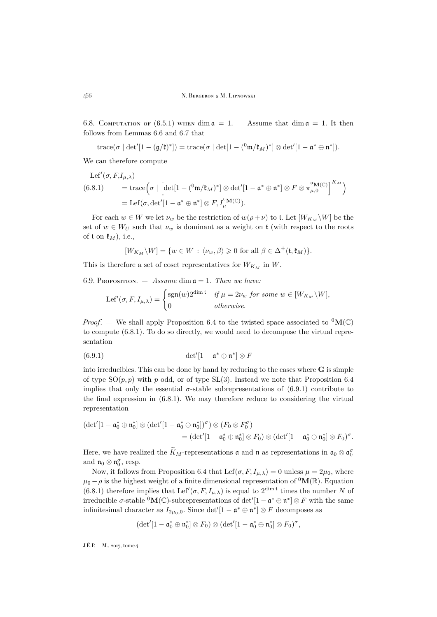6.8. COMPUTATION OF [\(6.5.1\)](#page-20-1) WHEN dim  $\mathfrak{a} = 1$ .  $-$  Assume that dim  $\mathfrak{a} = 1$ . It then follows from Lemmas [6.6](#page-21-0) and [6.7](#page-21-1) that

$$
\operatorname{trace}(\sigma \mid \det'[1 - (\mathfrak{g}/\mathfrak{k})^{*}]) = \operatorname{trace}(\sigma \mid \det[1 - ({}^0\mathfrak{m}/\mathfrak{k}_M)^*] \otimes \det'[1 - \mathfrak{a}^* \oplus \mathfrak{n}^*]).
$$

We can therefore compute

<span id="page-22-0"></span>
$$
\begin{aligned} \text{Lef}'(\sigma, F, I_{\mu,\lambda}) \\ (6.8.1) \qquad &= \text{trace}\Big(\sigma \mid \Big[\text{det}[1 - (\,^0 \text{m}/\mathfrak{k}_M)^*] \otimes \text{det}'[1 - \mathfrak{a}^* \oplus \mathfrak{n}^*] \otimes F \otimes \pi_{\mu,0}^{^0}(\mathbb{C})\Big]^{K_M}\Big) \\ &= \text{Lef}(\sigma, \text{det}'[1 - \mathfrak{a}^* \oplus \mathfrak{n}^*] \otimes F, I_{\mu}^{^0}(\mathbb{C})\Big). \end{aligned}
$$

For each  $w \in W$  we let  $\nu_w$  be the restriction of  $w(\rho + \nu)$  to t. Let  $[W_{K_M} \backslash W]$  be the set of  $w \in W_U$  such that  $\nu_w$  is dominant as a weight on t (with respect to the roots of t on  $\mathfrak{k}_M$ ), i.e.,

$$
[W_{K_M}\backslash W]=\{w\in W\,:\, \langle\nu_w,\beta\rangle\geqslant 0\,\,\text{for all}\,\,\beta\in\Delta^+(\mathfrak{k},\mathfrak{k}_M)\}.
$$

This is therefore a set of coset representatives for  $W_{K_M}$  in W.

<span id="page-22-2"></span>6.9. PROPOSITION. — *Assume* dim  $a = 1$ *. Then we have:* 

<span id="page-22-1"></span>
$$
Lef'(\sigma, F, I_{\mu,\lambda}) = \begin{cases} \text{sgn}(w)2^{\dim t} & \text{if } \mu = 2\nu_w \text{ for some } w \in [W_{K_M} \backslash W], \\ 0 & \text{otherwise.} \end{cases}
$$

*Proof.* — We shall apply Proposition [6.4](#page-20-0) to the twisted space associated to  ${}^{0}M(\mathbb{C})$ to compute [\(6.8.1\)](#page-22-0). To do so directly, we would need to decompose the virtual representation

(6.9.1) 
$$
\det'[1-\mathfrak{a}^*\oplus\mathfrak{n}^*]\otimes F
$$

into irreducibles. This can be done by hand by reducing to the cases where  $\bf{G}$  is simple of type  $SO(p, p)$  with p odd, or of type  $SL(3)$ . Instead we note that Proposition [6.4](#page-20-0) implies that only the essential  $\sigma$ -stable subrepresentations of [\(6.9.1\)](#page-22-1) contribute to the final expression in [\(6.8.1\)](#page-22-0). We may therefore reduce to considering the virtual representation

$$
\begin{aligned} (\det'[1-\mathfrak{a}_0^*\oplus\mathfrak{n}_0^*] \otimes (\det'[1-\mathfrak{a}_0^*\oplus\mathfrak{n}_0^*])^\sigma) \otimes (F_0 \otimes F_0^\sigma) \\ = (\det'[1-\mathfrak{a}_0^*\oplus\mathfrak{n}_0^*] \otimes F_0) \otimes (\det'[1-\mathfrak{a}_0^*\oplus\mathfrak{n}_0^*] \otimes F_0)^\sigma. \end{aligned}
$$

Here, we have realized the  $K_M$ -representations **a** and **n** as representations in  $\mathfrak{a}_0 \otimes \mathfrak{a}_0^{\sigma}$ and  $\mathfrak{n}_0 \otimes \mathfrak{n}_0^{\sigma}$ , resp.

Now, it follows from Proposition [6.4](#page-20-0) that Lef( $\sigma$ ,  $F$ ,  $I_{\mu,\lambda}$ ) = 0 unless  $\mu = 2\mu_0$ , where  $\mu_0 - \rho$  is the highest weight of a finite dimensional representation of <sup>0</sup>M(R). Equation [\(6.8.1\)](#page-22-0) therefore implies that Lef' $(\sigma, F, I_{\mu,\lambda})$  is equal to  $2^{\dim \mathfrak{t}}$  times the number N of irreducible  $\sigma$ -stable <sup>0</sup>M(C)-subrepresentations of det' $[1 - \mathfrak{a}^* \oplus \mathfrak{n}^*] \otimes F$  with the same infinitesimal character as  $I_{2\mu_0,0}$ . Since  $\det'[1 - \mathfrak{a}^* \oplus \mathfrak{n}^*] \otimes F$  decomposes as

$$
(\det'[1-\mathfrak{a}_0^*\oplus \mathfrak{n}_0^*]\otimes F_0)\otimes (\det'[1-\mathfrak{a}_0^*\oplus \mathfrak{n}_0^*]\otimes F_0)^{\sigma},
$$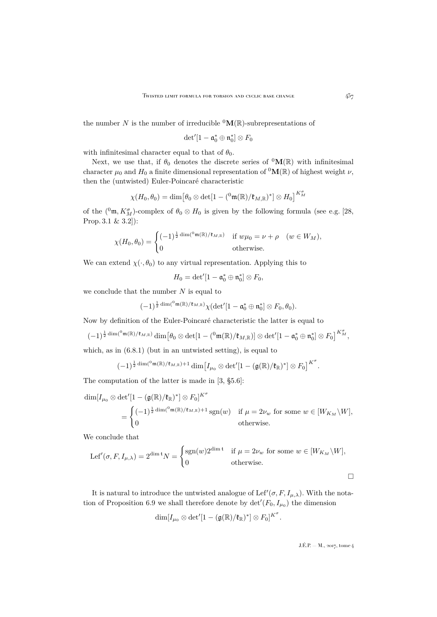the number N is the number of irreducible  ${}^{0}$ M(R)-subrepresentations of

$$
\det'[1-\mathfrak{a}_0^*\oplus \mathfrak{n}_0^*]\otimes F_0
$$

with infinitesimal character equal to that of  $\theta_0$ .

Next, we use that, if  $\theta_0$  denotes the discrete series of  $^0$ M(R) with infinitesimal character  $\mu_0$  and  $H_0$  a finite dimensional representation of <sup>0</sup>M(R) of highest weight  $\nu$ , then the (untwisted) Euler-Poincaré characteristic

$$
\chi(H_0,\theta_0)=\dim\bigl[\theta_0\otimes\det[1-(^0\mathfrak{m}(\mathbb{R})/\mathfrak{k}_{M,\mathbb{R}})^*]\otimes H_0\bigr]^{K_M^\sigma}
$$

of the  $({}^0\mathfrak{m}, K_M^{\sigma})$ -complex of  $\theta_0 \otimes H_0$  is given by the following formula (see e.g. [\[28,](#page-37-7) Prop. 3.1 & 3.2]):

$$
\chi(H_0, \theta_0) = \begin{cases}\n(-1)^{\frac{1}{2}\dim({^0\mathfrak{m}}(\mathbb{R})/\mathfrak{k}_{M, \mathbb{R}})} & \text{if } w\mu_0 = \nu + \rho \quad (w \in W_M), \\
0 & \text{otherwise.} \n\end{cases}
$$

We can extend  $\chi(\cdot, \theta_0)$  to any virtual representation. Applying this to

$$
H_0=\det'[1-\mathfrak{a}_0^*\oplus \mathfrak{n}_0^*]\otimes F_0,
$$

we conclude that the number  $N$  is equal to

$$
(-1)^{\frac{1}{2}\dim({}^0\mathfrak{m}(\mathbb{R})/\mathfrak{k}_{M,\mathbb{R}})}\chi(\det'[1-\mathfrak{a}_0^*\oplus \mathfrak{n}_0^*]\otimes F_0,\theta_0).
$$

Now by definition of the Euler-Poincaré characteristic the latter is equal to

$$
(-1)^{\frac{1}{2}\dim({}^0\mathfrak{m}(\mathbb{R})/\mathfrak{k}_{M,\mathbb{R}})}\dim\big[\theta_0\otimes\det[1-({}^0\mathfrak{m}(\mathbb{R})/\mathfrak{k}_{M,\mathbb{R}})]\otimes\det'[1-\mathfrak{a}_0^*\oplus\mathfrak{n}_0^*]\otimes F_0\big]^{K_M^{\sigma}},
$$

which, as in  $(6.8.1)$  (but in an untwisted setting), is equal to

$$
(-1)^{\frac{1}{2}\dim({}^0\mathfrak{m}(\mathbb{R})/\mathfrak{k}_{M,\mathbb{R}})+1}\dim\big[I_{\mu_0}\otimes\det'[1-(\mathfrak{g}(\mathbb{R})/\mathfrak{k}_{\mathbb{R}})^*]\otimes F_0\big]^{K^{\sigma}}.
$$

The computation of the latter is made in [\[3,](#page-36-0) §5.6]:

$$
\dim[I_{\mu_0} \otimes \det'[1 - (\mathfrak{g}(\mathbb{R})/\mathfrak{k}_{\mathbb{R}})^*] \otimes F_0]^{K^{\sigma}}\n= \begin{cases}\n(-1)^{\frac{1}{2}\dim({^0\mathfrak{m}}(\mathbb{R})/\mathfrak{k}_{M,\mathbb{R}})+1} \operatorname{sgn}(w) & \text{if } \mu = 2\nu_w \text{ for some } w \in [W_{K_M} \backslash W], \\
0 & \text{otherwise.} \n\end{cases}
$$

We conclude that

$$
Lef'(\sigma, F, I_{\mu,\lambda}) = 2^{\dim \mathfrak{t}} N = \begin{cases} \text{sgn}(w) 2^{\dim \mathfrak{t}} & \text{if } \mu = 2\nu_w \text{ for some } w \in [W_{K_M} \backslash W], \\ 0 & \text{otherwise.} \end{cases}
$$

It is natural to introduce the untwisted analogue of Lef' $(\sigma, F, I_{\mu,\lambda})$ . With the nota-tion of Proposition [6.9](#page-22-2) we shall therefore denote by  $\det'(F_0, I_{\mu_0})$  the dimension

$$
\dim [I_{\mu_0}\otimes\det'[1-(\mathfrak g(\mathbb R)/\mathfrak k_\mathbb R)^*]\otimes F_0]^{K^\sigma}
$$

.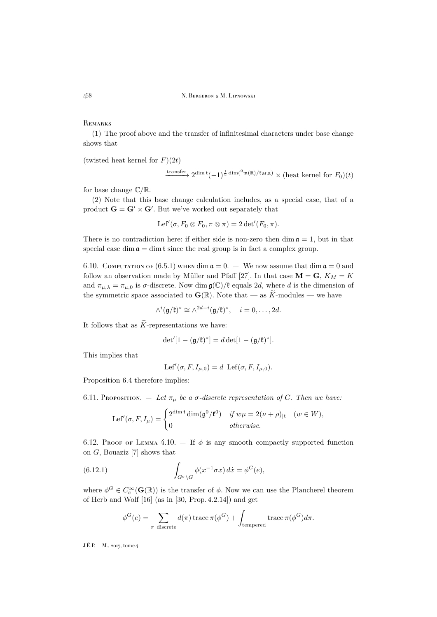**REMARKS** 

(1) The proof above and the transfer of infinitesimal characters under base change shows that

(twisted heat kernel for  $F(2t)$ )

$$
\xrightarrow{\text{transfer}} 2^{\dim \mathfrak{t}} (-1)^{\frac{1}{2} \dim({}^0\mathfrak{m}(\mathbb{R})/\mathfrak{k}_{M,\mathbb{R}})} \times (\text{heat kernel for } F_0)(t)
$$

for base change  $\mathbb{C}/\mathbb{R}$ .

(2) Note that this base change calculation includes, as a special case, that of a product  $\mathbf{G} = \mathbf{G}' \times \mathbf{G}'$ . But we've worked out separately that

$$
Lef'(\sigma, F_0 \otimes F_0, \pi \otimes \pi) = 2 \det'(F_0, \pi).
$$

There is no contradiction here: if either side is non-zero then dim  $a = 1$ , but in that special case dim  $\mathfrak{a} = \dim \mathfrak{t}$  since the real group is in fact a complex group.

6.10. COMPUTATION OF  $(6.5.1)$  when dim  $\mathfrak{a} = 0$ . — We now assume that dim  $\mathfrak{a} = 0$  and follow an observation made by Müller and Pfaff [\[27\]](#page-37-5). In that case  $\mathbf{M} = \mathbf{G}, K_M = K$ and  $\pi_{\mu,\lambda} = \pi_{\mu,0}$  is  $\sigma$ -discrete. Now dim  $\mathfrak{g}(\mathbb{C})/\mathfrak{k}$  equals 2d, where d is the dimension of the symmetric space associated to  $\mathbf{G}(\mathbb{R})$ . Note that — as  $\widetilde{K}$ -modules — we have

$$
\wedge^i(\mathfrak{g}/\mathfrak{k})^* \cong \wedge^{2d-i}(\mathfrak{g}/\mathfrak{k})^*, \quad i=0,\ldots,2d.
$$

It follows that as  $\widetilde{K}$ -representations we have:

$$
\det'[1 - (\mathfrak{g}/\mathfrak{k})^*] = d \det[1 - (\mathfrak{g}/\mathfrak{k})^*].
$$

This implies that

$$
Lef'(\sigma, F, I_{\mu,0}) = d \operatorname{Lef}(\sigma, F, I_{\mu,0}).
$$

Proposition [6.4](#page-20-0) therefore implies:

<span id="page-24-0"></span>6.11. Proposition.  $\bar{E} = \int_0^L E \cdot d\mu$  *be a*  $\sigma$ -discrete representation of G. Then we have:

$$
\text{Lef}'(\sigma, F, I_{\mu}) = \begin{cases} 2^{\dim \mathfrak{t}} \dim(\mathfrak{g}^0/\mathfrak{k}^0) & \text{if } w\mu = 2(\nu + \rho)_{|\mathfrak{t}} \quad (w \in W), \\ 0 & \text{otherwise.} \end{cases}
$$

6.12. Proof of Lemma [4.10.](#page-15-1) – If  $\phi$  is any smooth compactly supported function on G, Bouaziz [\[7\]](#page-36-5) shows that

(6.12.1) 
$$
\int_{G^{\sigma} \backslash G} \phi(x^{-1} \sigma x) dx = \phi^{G}(e),
$$

where  $\phi^G \in C_c^{\infty}(\mathbf{G}(\mathbb{R}))$  is the transfer of  $\phi$ . Now we can use the Plancherel theorem of Herb and Wolf [\[16\]](#page-37-8) (as in [\[30,](#page-37-1) Prop. 4.2.14]) and get

$$
\phi^G(e) = \sum_{\pi \text{ discrete}} d(\pi) \operatorname{trace} \pi(\phi^G) + \int_{\text{tempered}} \operatorname{trace} \pi(\phi^G) d\pi.
$$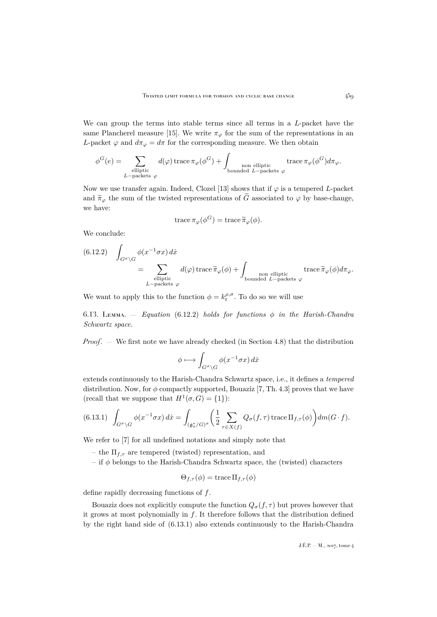We can group the terms into stable terms since all terms in a L-packet have the same Plancherel measure [\[15\]](#page-37-9). We write  $\pi_{\varphi}$  for the sum of the representations in an L-packet  $\varphi$  and  $d\pi_{\varphi} = d\pi$  for the corresponding measure. We then obtain

$$
\phi^G(e) = \sum_{\substack{\text{elliptic} \\ L-\text{packets }\varphi}} d(\varphi) \operatorname{trace} \pi_\varphi(\phi^G) + \int_{\substack{\text{non elliptic} \\ \text{bounded } L-\text{packets }\varphi}} \operatorname{trace} \pi_\varphi(\phi^G) d\pi_\varphi.
$$

Now we use transfer again. Indeed, Clozel [\[13\]](#page-36-8) shows that if  $\varphi$  is a tempered L-packet and  $\tilde{\pi}_{\varphi}$  the sum of the twisted representations of  $\tilde{G}$  associated to  $\varphi$  by base-change, we have:

trace 
$$
\pi_{\varphi}(\phi^G)
$$
 = trace  $\widetilde{\pi}_{\varphi}(\phi)$ .

We conclude:

<span id="page-25-0"></span>(6.12.2) 
$$
\int_{G^{\sigma}\backslash G} \phi(x^{-1}\sigma x) dx = \sum_{\substack{\text{elliptic} \\ L-\text{packets } \varphi}} d(\varphi) \operatorname{trace} \tilde{\pi}_{\varphi}(\phi) + \int_{\substack{\text{non elliptic} \\ \text{bounded } L-\text{packets } \varphi}} \operatorname{trace} \tilde{\pi}_{\varphi}(\phi) d\pi_{\varphi}.
$$

We want to apply this to the function  $\phi = k_t^{\rho,\sigma}$ . To do so we will use

<span id="page-25-2"></span>6.13. Lemma. — *Equation* [\(6.12.2\)](#page-25-0) *holds for functions* φ *in the Harish-Chandra Schwartz space.*

*Proof*. — We first note we have already checked (in Section 4.8) that the distribution

$$
\phi \longmapsto \int_{G^{\sigma} \backslash G} \phi(x^{-1} \sigma x) \, dx
$$

extends continuously to the Harish-Chandra Schwartz space, i.e., it defines a *tempered* distribution. Now, for  $\phi$  compactly supported, Bouaziz [\[7,](#page-36-5) Th. 4.3] proves that we have (recall that we suppose that  $H^1(\sigma, G) = \{1\}$ ):

<span id="page-25-1"></span>
$$
(6.13.1) \quad \int_{G^{\sigma} \backslash G} \phi(x^{-1} \sigma x) \, dx = \int_{(\mathfrak{g}_a^* / G)^{\sigma}} \left( \frac{1}{2} \sum_{\tau \in X(f)} Q_{\sigma}(f, \tau) \operatorname{trace} \Pi_{f, \tau}(\phi) \right) dm(G \cdot f).
$$

We refer to [\[7\]](#page-36-5) for all undefined notations and simply note that

- the  $\Pi_{f,\tau}$  are tempered (twisted) representation, and
- if  $\phi$  belongs to the Harish-Chandra Schwartz space, the (twisted) characters

$$
\Theta_{f,\tau}(\phi) = \operatorname{trace} \Pi_{f,\tau}(\phi)
$$

define rapidly decreasing functions of f.

Bouaziz does not explicitly compute the function  $Q_{\sigma}(f, \tau)$  but proves however that it grows at most polynomially in  $f$ . It therefore follows that the distribution defined by the right hand side of [\(6.13.1\)](#page-25-1) also extends continuously to the Harish-Chandra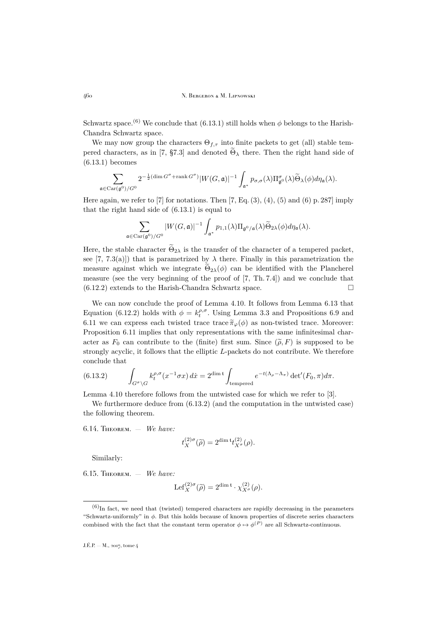Schwartz space.<sup>(6)</sup> We conclude that [\(6.13.1\)](#page-25-1) still holds when  $\phi$  belongs to the Harish-Chandra Schwartz space.

We may now group the characters  $\Theta_{f,\tau}$  into finite packets to get (all) stable tem-pered characters, as in [\[7,](#page-36-5) §7.3] and denoted  $\tilde{\Theta}_{\lambda}$  there. Then the right hand side of [\(6.13.1\)](#page-25-1) becomes

$$
\sum_{\mathfrak{a} \in \mathrm{Car}(\mathfrak{g}^0)/G^0} 2^{-\frac{1}{2}(\dim G^{\sigma} + \mathrm{rank} \, G^{\sigma})} |W(G, \mathfrak{a})|^{-1} \int_{\mathfrak{a}^*} p_{\sigma, \sigma}(\lambda) \Pi^{\sigma}_{\mathfrak{g}^0}(\lambda) \widetilde{\Theta}_{\lambda}(\phi) d\eta_{\mathfrak{a}}(\lambda).
$$

Here again, we refer to  $[7]$  for notations. Then  $[7, Eq. (3), (4), (5)$  $[7, Eq. (3), (4), (5)$  and  $(6)$  p. 287] imply that the right hand side of [\(6.13.1\)](#page-25-1) is equal to

$$
\sum_{\mathfrak{a}\in \operatorname{Car}(\mathfrak{g}^0)/G^0} |W(G,\mathfrak{a})|^{-1}\int_{\mathfrak{a}^*} p_{1,1}(\lambda)\Pi_{\mathfrak{g}^0/\mathfrak{a}}(\lambda)\widetilde{\Theta}_{2\lambda}(\phi)d\eta_{\mathfrak{a}}(\lambda).
$$

Here, the stable character  $\widetilde{\Theta}_{2\lambda}$  is the transfer of the character of a tempered packet, see [\[7,](#page-36-5) 7.3(a)]) that is parametrized by  $\lambda$  there. Finally in this parametrization the measure against which we integrate  $\widetilde{\Theta}_{2\lambda}(\phi)$  can be identified with the Plancherel measure (see the very beginning of the proof of [\[7,](#page-36-5) Th. 7.4]) and we conclude that  $(6.12.2)$  extends to the Harish-Chandra Schwartz space.

We can now conclude the proof of Lemma [4.10.](#page-15-1) It follows from Lemma [6.13](#page-25-2) that Equation [\(6.12.2\)](#page-25-0) holds with  $\phi = k_t^{\rho,\sigma}$ . Using Lemma [3.3](#page-9-0) and Propositions [6.9](#page-22-2) and [6.11](#page-24-0) we can express each twisted trace trace  $\tilde{\pi}_{\varphi}(\phi)$  as non-twisted trace. Moreover: Proposition [6.11](#page-24-0) implies that only representations with the same infinitesimal character as  $F_0$  can contribute to the (finite) first sum. Since  $(\tilde{\rho}, F)$  is supposed to be strongly acyclic, it follows that the elliptic L-packets do not contribute. We therefore conclude that

<span id="page-26-0"></span>(6.13.2) 
$$
\int_{G^{\sigma}\backslash G} k_t^{\rho,\sigma}(x^{-1}\sigma x) dx = 2^{\dim \mathfrak{t}} \int_{\text{tempered}} e^{-t(\Lambda_{\rho}-\Lambda_{\pi})} \det'(F_0,\pi) d\pi.
$$

Lemma [4.10](#page-15-1) therefore follows from the untwisted case for which we refer to [\[3\]](#page-36-0).

We furthermore deduce from  $(6.13.2)$  (and the computation in the untwisted case) the following theorem.

<span id="page-26-2"></span>6.14. Theorem. — *We have:*

$$
t_X^{(2)\sigma}(\widetilde{\rho}) = 2^{\dim \mathfrak{t}} t_{X^{\sigma}}^{(2)}(\rho).
$$

Similarly:

<span id="page-26-1"></span>6.15. Theorem. — *We have:*

$$
\mathrm{Lef}_X^{(2)\sigma}(\widetilde{\rho}) = 2^{\dim \mathfrak{t}} \cdot \chi_{X^\sigma}^{(2)}(\rho).
$$

 $(6)$ In fact, we need that (twisted) tempered characters are rapidly decreasing in the parameters "Schwartz-uniformly" in  $\phi$ . But this holds because of known properties of discrete series characters combined with the fact that the constant term operator  $\phi \mapsto \phi^{(P)}$  are all Schwartz-continuous.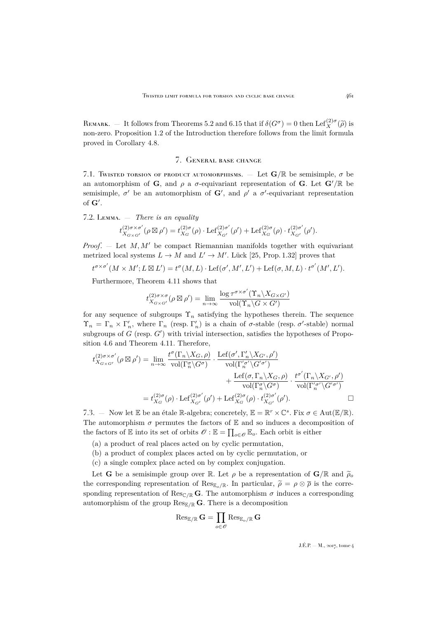REMARK. — It follows from Theorems [5.2](#page-18-0) and [6.15](#page-26-1) that if  $\delta(G^{\sigma}) = 0$  then Lef<sup>(2)</sup> $\sigma(\tilde{\rho})$  is non-zero. Proposition [1.2](#page-3-0) of the Introduction therefore follows from the limit formula proved in Corollary [4.8.](#page-15-2)

#### 7. General base change

<span id="page-27-0"></span>7.1. Twisted torsion of product automorphisms. — Let  $\mathbf{G}/\mathbb{R}$  be semisimple,  $\sigma$  be an automorphism of G, and  $\rho$  a  $\sigma$ -equivariant representation of G. Let  $G'/\mathbb{R}$  be semisimple,  $\sigma'$  be an automorphism of  $\mathbf{G}'$ , and  $\rho'$  a  $\sigma'$ -equivariant representation of  $G'$ .

<span id="page-27-1"></span>7.2. Lemma. — *There is an equality*

$$
t_{X_{G\times G'}}^{(2)\sigma\times\sigma'}(\rho\boxtimes\rho')=t_{X_G}^{(2)\sigma}(\rho)\cdot\mathrm{Lef}_{X_{G'}}^{(2)\sigma'}(\rho')+ \mathrm{Lef}_{X_G}^{(2)\sigma}(\rho)\cdot t_{X_{G'}}^{(2)\sigma'}(\rho').
$$

*Proof.*  $-$  Let  $M, M'$  be compact Riemannian manifolds together with equivariant metrized local systems  $L \to M$  and  $L' \to M'$ . Lück [\[25,](#page-37-10) Prop. 1.32] proves that

 $t^{\sigma \times \sigma'}(M \times M'; L \boxtimes L') = t^{\sigma}(M, L) \cdot \text{Lef}(\sigma', M', L') + \text{Lef}(\sigma, M, L) \cdot t^{\sigma'}(M', L').$ 

Furthermore, Theorem [4.11](#page-16-2) shows that

$$
t_{X_{G\times G'}}^{(2)\sigma\times\sigma}(\rho\boxtimes\rho')=\lim_{n\to\infty}\frac{\log\tau^{\sigma\times\sigma'}(\Upsilon_n\backslash X_{G\times G'})}{\operatorname{vol}(\Upsilon_n\backslash G\times G')}
$$

for any sequence of subgroups  $\Upsilon_n$  satisfying the hypotheses therein. The sequence  $\Upsilon_n = \Gamma_n \times \Gamma'_n$ , where  $\Gamma_n$  (resp.  $\Gamma'_n$ ) is a chain of  $\sigma$ -stable (resp.  $\sigma'$ -stable) normal subgroups of  $G$  (resp.  $G'$ ) with trivial intersection, satisfies the hypotheses of Proposition [4.6](#page-14-0) and Theorem [4.11.](#page-16-2) Therefore,

$$
t_{X_{G\times G'}}^{(2)\sigma\times\sigma'}(\rho\boxtimes\rho') = \lim_{n\to\infty} \frac{t^{\sigma}(\Gamma_n\backslash X_G,\rho)}{\text{vol}(\Gamma_n^{\sigma}\backslash G^{\sigma})} \cdot \frac{\text{Lef}(\sigma',\Gamma_n'\backslash X_{G'},\rho')}{\text{vol}(\Gamma_n^{\sigma'}\backslash G^{\sigma'})} + \frac{\text{Lef}(\sigma,\Gamma_n\backslash X_G,\rho)}{\text{vol}(\Gamma_n^{\sigma}\backslash G^{\sigma})} \cdot \frac{t^{\sigma'}(\Gamma_n\backslash X_{G'},\rho')}{\text{vol}(\Gamma_n^{\sigma'}\backslash G^{\sigma'})} = t_{X_G}^{(2)\sigma}(\rho) \cdot \text{Lef}_{X_{G'}}^{(2)\sigma'}(\rho') + \text{Lef}_{X_G}^{(2)\sigma}(\rho) \cdot t_{X_{G'}}^{(2)\sigma'}(\rho'). \qquad \Box
$$

7.3. – Now let E be an étale R-algebra; concretely,  $\mathbb{E} = \mathbb{R}^r \times \mathbb{C}^s$ . Fix  $\sigma \in Aut(\mathbb{E}/\mathbb{R})$ . The automorphism  $\sigma$  permutes the factors of  $E$  and so induces a decomposition of the factors of  $\mathbb E$  into its set of orbits  $\mathscr O : \mathbb E = \prod_{o \in \mathscr O} \mathbb E_o$ . Each orbit is either

- (a) a product of real places acted on by cyclic permutation,
- (b) a product of complex places acted on by cyclic permutation, or
- (c) a single complex place acted on by complex conjugation.

Let G be a semisimple group over R. Let  $\rho$  be a representation of  $G/R$  and  $\tilde{\rho}_o$ the corresponding representation of  $\text{Res}_{\mathbb{E}_{\sigma}/\mathbb{R}}$ . In particular,  $\tilde{\rho} = \rho \otimes \overline{\rho}$  is the corresponding representation of Res<sub>C/R</sub> G. The automorphism  $\sigma$  induces a corresponding automorphism of the group  $\operatorname{Res}_{\mathbb{E}/\mathbb{R}} G$ . There is a decomposition

$$
\operatorname{Res}_{\mathbb{E}/\mathbb{R}}\mathrm{G}=\prod_{o\in\mathscr{O}}\operatorname{Res}_{\mathbb{E}_o/\mathbb{R}}\mathrm{G}
$$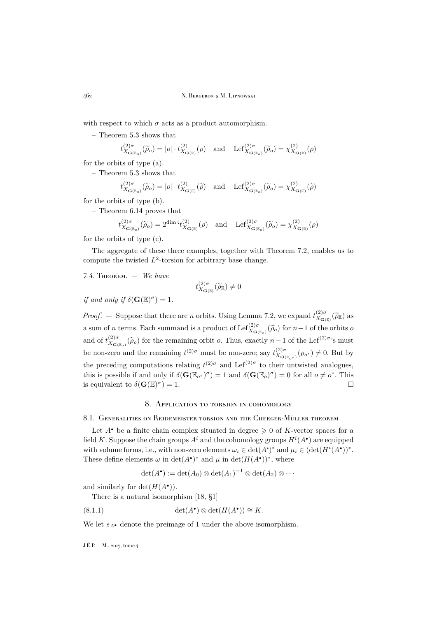with respect to which  $\sigma$  acts as a product automorphism.

– Theorem [5.3](#page-18-1) shows that

$$
t^{(2)\sigma}_{X_{\mathbf{G}(\mathbb{E}_o})}(\widetilde{\rho}_o) = |o| \cdot t^{(2)}_{X_{\mathbf{G}(\mathbb{R})}}(\rho) \quad \text{and} \quad \mathrm{Lef}_{X_{\mathbf{G}(\mathbb{E}_o)}}^{(2)\sigma}(\widetilde{\rho}_o) = \chi^{(2)}_{X_{\mathbf{G}(\mathbb{R})}}(\rho)
$$

for the orbits of type (a).

– Theorem [5.3](#page-18-1) shows that

$$
t_{X_{\mathbf{G}(\mathbb{E}_o)}}^{(2)\sigma}(\widetilde{\rho}_o) = |o| \cdot t_{X_{\mathbf{G}(\mathbb{C})}}^{(2)}(\widetilde{\rho}) \quad \text{and} \quad \mathrm{Lef}_{X_{\mathbf{G}(\mathbb{E}_o)}}^{(2)\sigma}(\widetilde{\rho}_o) = \chi_{X_{\mathbf{G}(\mathbb{C})}}^{(2)}(\widetilde{\rho})
$$

for the orbits of type (b).

– Theorem [6.14](#page-26-2) proves that

$$
t_{X_{\mathbf{G}(\mathbb{E}_o)}}^{(2)\sigma}(\widetilde{\rho}_o) = 2^{\dim \mathfrak{t}} t_{X_{\mathbf{G}(\mathbb{R})}}^{(2)}(\rho) \quad \text{and} \quad \mathrm{Lef}_{X_{\mathbf{G}(\mathbb{E}_o)}}^{(2)\sigma}(\widetilde{\rho}_o) = \chi_{X_{\mathbf{G}(\mathbb{R})}}^{(2)}(\rho)
$$

for the orbits of type (c).

The aggregate of these three examples, together with Theorem [7.2,](#page-27-1) enables us to compute the twisted  $L^2$ -torsion for arbitrary base change.

7.4. THEOREM. 
$$
-
$$
 We have

$$
t_{X_{\mathbf{G}(\mathbb{E})}}^{(2)\sigma}(\widetilde{\rho}_{\mathbb{E}}) \neq 0
$$

*if and only if*  $\delta(\mathbf{G}(\mathbb{E})^{\sigma}) = 1$ *.* 

*Proof.* – Suppose that there are *n* orbits. Using Lemma [7.2,](#page-27-1) we expand  $t_{X_{\text{CC}}}^{(2)\sigma}$  $\chi_{\mathbf{G}(\mathbb{E})}^{(2)\sigma}(\widetilde{\rho}_{\mathbb{E}})$  as a sum of *n* terms. Each summand is a product of Lef<sup>(2)</sup> $\sigma$ <sub> $X_{\mathbf{G}(\mathbb{E}_o)}(\widetilde{\rho}_o)$  for  $n-1$  of the orbits  $\sigma$ </sub> and of  $t_{X_{\alpha}}^{(2)\sigma}$  $\chi_{\mathbf{G}(\mathbb{E}_{o})}^{(2)\sigma}(\widetilde{\rho}_{o})$  for the remaining orbit *o*. Thus, exactly  $n-1$  of the Lef<sup>(2) $\sigma$ </sup>'s must be non-zero and the remaining  $t^{(2) \sigma}$  must be non-zero; say  $t^{(2) \sigma}_{X_{\sigma}}$  $X_{\mathbf{G}(\mathbb{E}_{o^*})}(\rho_{o^*}) \neq 0$ . But by the preceding computations relating  $t^{(2) \sigma}$  and  $\text{Lef}^{(2) \sigma}$  to their untwisted analogues, this is possible if and only if  $\delta(\mathbf{G}(\mathbb{E}_{o^*})^{\sigma}) = 1$  and  $\delta(\mathbf{G}(\mathbb{E}_{o})^{\sigma}) = 0$  for all  $o \neq o^*$ . This is equivalent to  $\delta(\mathbf{G}(\mathbb{E})^{\sigma})$  $) = 1.$ 

#### 8. Application to torsion in cohomology

#### <span id="page-28-0"></span>8.1. Generalities on Reidemeister torsion and the Cheeger-Müller theorem

Let  $A^{\bullet}$  be a finite chain complex situated in degree  $\geq 0$  of K-vector spaces for a field K. Suppose the chain groups  $A^i$  and the cohomology groups  $H^i(A^{\bullet})$  are equipped with volume forms, i.e., with non-zero elements  $\omega_i \in \det(A^i)^*$  and  $\mu_i \in (\det(H^i(A^{\bullet}))^*$ . These define elements  $\omega$  in  $\det(A^{\bullet})^*$  and  $\mu$  in  $\det(H(A^{\bullet}))^*$ , where

$$
\det(A^{\bullet}) := \det(A_0) \otimes \det(A_1)^{-1} \otimes \det(A_2) \otimes \cdots
$$

and similarly for  $\det(H(A^{\bullet}))$ .

There is a natural isomorphism [\[18,](#page-37-11) §1]

(8.1.1) 
$$
\det(A^{\bullet}) \otimes \det(H(A^{\bullet})) \cong K.
$$

We let  $s_A$ • denote the preimage of 1 under the above isomorphism.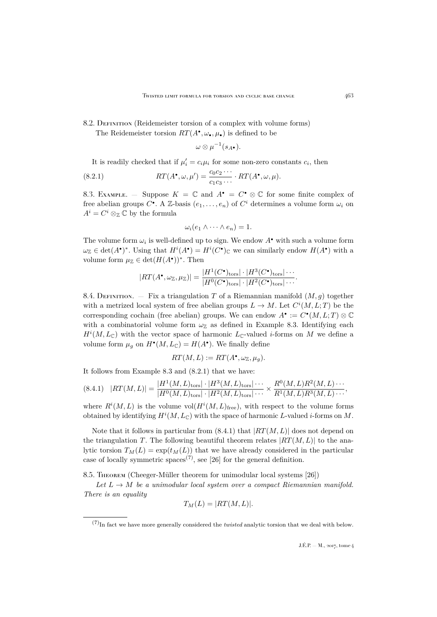## 8.2. DEFINITION (Reidemeister torsion of a complex with volume forms) The Reidemeister torsion  $RT(A^{\bullet}, \omega_{\bullet}, \mu_{\bullet})$  is defined to be

<span id="page-29-1"></span> $\omega\otimes\mu^{-1}(s_{A^{\bullet}}).$ 

It is readily checked that if  $\mu'_i = c_i \mu_i$  for some non-zero constants  $c_i$ , then

(8.2.1) 
$$
RT(A^{\bullet}, \omega, \mu') = \frac{c_0 c_2 \cdots}{c_1 c_3 \cdots} \cdot RT(A^{\bullet}, \omega, \mu).
$$

<span id="page-29-0"></span>8.3. EXAMPLE. – Suppose  $K = \mathbb{C}$  and  $A^{\bullet} = C^{\bullet} \otimes \mathbb{C}$  for some finite complex of free abelian groups  $C^{\bullet}$ . A Z-basis  $(e_1, \ldots, e_n)$  of  $C^i$  determines a volume form  $\omega_i$  on  $A^i = C^i \otimes_{\mathbb{Z}} \mathbb{C}$  by the formula

$$
\omega_i(e_1 \wedge \cdots \wedge e_n) = 1.
$$

The volume form  $\omega_i$  is well-defined up to sign. We endow  $A^{\bullet}$  with such a volume form  $\omega_{\mathbb{Z}} \in \det(A^{\bullet})^*$ . Using that  $H^i(A^{\bullet}) = H^i(C^{\bullet})_{\mathbb{C}}$  we can similarly endow  $H(A^{\bullet})$  with a volume form  $\mu_{\mathbb{Z}} \in \det(H(A^{\bullet}))^*$ . Then

$$
|RT(A^{\bullet}, \omega_{\mathbb{Z}}, \mu_{\mathbb{Z}})| = \frac{|H^1(C^{\bullet})_{\text{tors}}| \cdot |H^3(C^{\bullet})_{\text{tors}}| \cdot \dots}{|H^0(C^{\bullet})_{\text{tors}}| \cdot |H^2(C^{\bullet})_{\text{tors}}| \dots}.
$$

8.4. DEFINITION. — Fix a triangulation T of a Riemannian manifold  $(M, g)$  together with a metrized local system of free abelian groups  $L \to M$ . Let  $C^{i}(M, L; T)$  be the corresponding cochain (free abelian) groups. We can endow  $A^{\bullet} := C^{\bullet}(M, L; T) \otimes \mathbb{C}$ with a combinatorial volume form  $\omega_{\mathbb{Z}}$  as defined in Example [8.3.](#page-29-0) Identifying each  $H^{i}(M, L_{\mathbb{C}})$  with the vector space of harmonic  $L_{\mathbb{C}}$ -valued *i*-forms on M we define a volume form  $\mu_g$  on  $H^{\bullet}(M, L_{\mathbb{C}}) = H(A^{\bullet})$ . We finally define

$$
RT(M, L) := RT(A^{\bullet}, \omega_{\mathbb{Z}}, \mu_g).
$$

It follows from Example [8.3](#page-29-0) and [\(8.2.1\)](#page-29-1) that we have:

<span id="page-29-2"></span>
$$
(8.4.1) \quad |RT(M,L)| = \frac{|H^1(M,L)_{\text{tors}}| \cdot |H^3(M,L)_{\text{tors}}| \cdots}{|H^0(M,L)_{\text{tors}}| \cdot |H^2(M,L)_{\text{tors}}| \cdots} \times \frac{R^0(M,L)R^2(M,L) \cdots}{R^1(M,L)R^3(M,L) \cdots},
$$

where  $R^{i}(M,L)$  is the volume vol $(H^{i}(M,L)_{\text{free}})$ , with respect to the volume forms obtained by identifying  $H^i(M, L_{\mathbb{C}})$  with the space of harmonic L-valued *i*-forms on M.

Note that it follows in particular from  $(8.4.1)$  that  $|RT(M, L)|$  does not depend on the triangulation T. The following beautiful theorem relates  $|RT(M, L)|$  to the analytic torsion  $T_M(L) = \exp(t_M(L))$  that we have already considered in the particular case of locally symmetric spaces<sup>(7)</sup>, see [\[26\]](#page-37-12) for the general definition.

8.5. Theorem (Cheeger-Müller theorem for unimodular local systems [\[26\]](#page-37-12))

Let  $L \to M$  be a unimodular local system over a compact Riemannian manifold. *There is an equality*

$$
T_M(L) = |RT(M, L)|.
$$

<sup>(7)</sup>In fact we have more generally considered the *twisted* analytic torsion that we deal with below.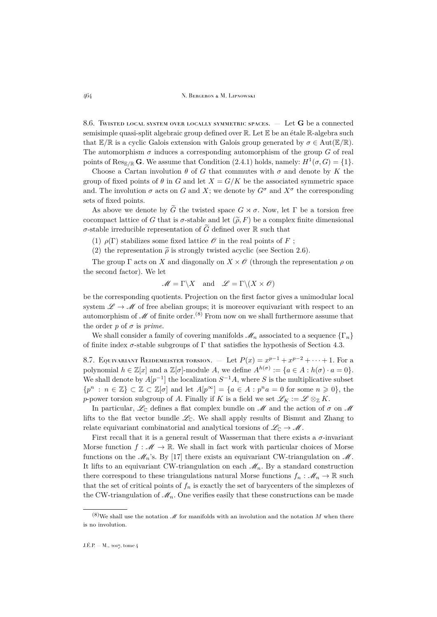<span id="page-30-0"></span>8.6. Twisted local system over locally symmetric spaces.  $-$  Let G be a connected semisimple quasi-split algebraic group defined over R. Let E be an étale R-algebra such that  $\mathbb{E}/\mathbb{R}$  is a cyclic Galois extension with Galois group generated by  $\sigma \in \text{Aut}(\mathbb{E}/\mathbb{R})$ . The automorphism  $\sigma$  induces a corresponding automorphism of the group G of real points of  $\text{Res}_{\mathbb{E}/\mathbb{R}} G$ . We assume that Condition [\(2.4.1\)](#page-7-1) holds, namely:  $H^1(\sigma, G) = \{1\}$ .

Choose a Cartan involution  $\theta$  of G that commutes with  $\sigma$  and denote by K the group of fixed points of  $\theta$  in G and let  $X = G/K$  be the associated symmetric space and. The involution  $\sigma$  acts on G and X; we denote by  $G^{\sigma}$  and  $X^{\sigma}$  the corresponding sets of fixed points.

As above we denote by  $\tilde{G}$  the twisted space  $G \rtimes \sigma$ . Now, let  $\Gamma$  be a torsion free cocompact lattice of G that is  $\sigma$ -stable and let  $(\widetilde{\rho}, F)$  be a complex finite dimensional σ-stable irreducible representation of  $\tilde{G}$  defined over R such that

(1)  $\rho(\Gamma)$  stabilizes some fixed lattice  $\mathcal O$  in the real points of F;

(2) the representation  $\tilde{\rho}$  is strongly twisted acyclic (see Section [2.6\)](#page-8-1).

The group  $\Gamma$  acts on X and diagonally on  $X \times \mathcal{O}$  (through the representation  $\rho$  on the second factor). We let

$$
\mathscr{M} = \Gamma \backslash X \quad \text{and} \quad \mathscr{L} = \Gamma \backslash (X \times \mathscr{O})
$$

be the corresponding quotients. Projection on the first factor gives a unimodular local system  $\mathscr{L} \to \mathscr{M}$  of free abelian groups; it is moreover equivariant with respect to an automorphism of  $\mathscr M$  of finite order.<sup>(8)</sup> From now on we shall furthermore assume that the order  $p$  of  $\sigma$  is *prime*.

We shall consider a family of covering manifolds  $\mathcal{M}_n$  associated to a sequence  $\{\Gamma_n\}$ of finite index  $\sigma$ -stable subgroups of  $\Gamma$  that satisfies the hypothesis of Section [4.3.](#page-12-1)

8.7. EQUIVARIANT REIDEMEISTER TORSION.  $-$  Let  $P(x) = x^{p-1} + x^{p-2} + \cdots + 1$ . For a polynomial  $h \in \mathbb{Z}[x]$  and a  $\mathbb{Z}[\sigma]$ -module A, we define  $A^{h(\sigma)} := \{a \in A : h(\sigma) \cdot a = 0\}.$ We shall denote by  $A[p^{-1}]$  the localization  $S^{-1}A$ , where S is the multiplicative subset  ${p^n : n \in \mathbb{Z} \} \subset \mathbb{Z} \subset \mathbb{Z}[\sigma]$  and let  $A[p^{\infty}] = {a \in A : p^n a = 0$  for some  $n \geq 0}$ , the p-power torsion subgroup of A. Finally if K is a field we set  $\mathscr{L}_K := \mathscr{L} \otimes_{\mathbb{Z}} K$ .

In particular,  $\mathscr{L}_{\mathbb{C}}$  defines a flat complex bundle on  $\mathscr{M}$  and the action of  $\sigma$  on  $\mathscr{M}$ lifts to the flat vector bundle  $\mathcal{L}_{\mathbb{C}}$ . We shall apply results of Bismut and Zhang to relate equivariant combinatorial and analytical torsions of  $\mathcal{L}_{\mathbb{C}} \to \mathcal{M}$ .

First recall that it is a general result of Wasserman that there exists a  $\sigma$ -invariant Morse function  $f : \mathcal{M} \to \mathbb{R}$ . We shall in fact work with particular choices of Morse functions on the  $\mathcal{M}_n$ 's. By [\[17\]](#page-37-13) there exists an equivariant CW-triangulation on  $\mathcal{M}$ . It lifts to an equivariant CW-triangulation on each  $\mathcal{M}_n$ . By a standard construction there correspond to these triangulations natural Morse functions  $f_n : \mathcal{M}_n \to \mathbb{R}$  such that the set of critical points of  $f_n$  is exactly the set of barycenters of the simplexes of the CW-triangulation of  $\mathcal{M}_n$ . One verifies easily that these constructions can be made

 $(8)$ We shall use the notation  $\mathscr M$  for manifolds with an involution and the notation M when there is no involution.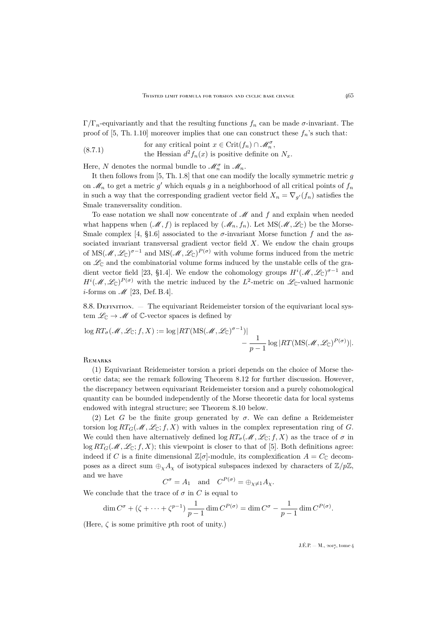Γ/Γ<sub>n</sub>-equivariantly and that the resulting functions  $f_n$  can be made σ-invariant. The proof of [\[5,](#page-36-4) Th. 1.10] moreover implies that one can construct these  $f_n$ 's such that:

<span id="page-31-0"></span>for any critical point  $x \in \mathrm{Crit}(f_n) \cap \mathscr{M}_n^{\sigma}$ , the Hessian  $d^2 f_n(x)$  is positive definite on  $N_x$ . (8.7.1)

Here, N denotes the normal bundle to  $\mathcal{M}_n^{\sigma}$  in  $\mathcal{M}_n$ .

It then follows from  $[5, Th. 1.8]$  $[5, Th. 1.8]$  that one can modify the locally symmetric metric  $g$ on  $\mathcal{M}_n$  to get a metric  $g'$  which equals g in a neighborhood of all critical points of  $f_n$ in such a way that the corresponding gradient vector field  $X_n = \nabla_{g'}(f_n)$  satisfies the Smale transversality condition.

To ease notation we shall now concentrate of  $\mathcal M$  and  $f$  and explain when needed what happens when  $(M, f)$  is replaced by  $(M_n, f_n)$ . Let  $MS(M, \mathcal{L}_\mathbb{C})$  be the Morse-Smale complex [\[4,](#page-36-9) §1.6] associated to the  $\sigma$ -invariant Morse function f and the associated invariant transversal gradient vector field  $X$ . We endow the chain groups of  $MS(M,\mathscr{L}_{\mathbb{C}})^{\sigma-1}$  and  $MS(M,\mathscr{L}_{\mathbb{C}})^{P(\sigma)}$  with volume forms induced from the metric on  $\mathscr{L}_{\mathbb{C}}$  and the combinatorial volume forms induced by the unstable cells of the gra-dient vector field [\[23,](#page-37-0) §1.4]. We endow the cohomology groups  $H^{i}(\mathcal{M},\mathscr{L}_{\mathbb{C}})^{\sigma-1}$  and  $H^{i}(\mathscr{M},\mathscr{L}_{\mathbb{C}})^{P(\sigma)}$  with the metric induced by the  $L^{2}$ -metric on  $\mathscr{L}_{\mathbb{C}}$ -valued harmonic *i*-forms on  $\mathcal{M}$  [\[23,](#page-37-0) Def. B.4].

8.8. DEFINITION. — The equivariant Reidemeister torsion of the equivariant local system  $\mathcal{L}_{\mathbb{C}} \to \mathcal{M}$  of  $\mathbb{C}$ -vector spaces is defined by

$$
\log RT_{\sigma}(\mathcal{M}, \mathcal{L}_{\mathbb{C}}; f, X) := \log |RT(\text{MS}(\mathcal{M}, \mathcal{L}_{\mathbb{C}})^{\sigma - 1})| - \frac{1}{p - 1} \log |RT(\text{MS}(\mathcal{M}, \mathcal{L}_{\mathbb{C}})^{P(\sigma)})|.
$$

**REMARKS** 

(1) Equivariant Reidemeister torsion a priori depends on the choice of Morse theoretic data; see the remark following Theorem [8.12](#page-32-0) for further discussion. However, the discrepancy between equivariant Reidemeister torsion and a purely cohomological quantity can be bounded independently of the Morse theoretic data for local systems endowed with integral structure; see Theorem [8.10](#page-32-1) below.

(2) Let G be the finite group generated by  $\sigma$ . We can define a Reidemeister torsion  $\log RT_G(\mathcal{M}, \mathcal{L}_\mathbb{C}; f, X)$  with values in the complex representation ring of G. We could then have alternatively defined  $\log RT_{\sigma}(\mathcal{M}, \mathcal{L}_{\mathbb{C}}; f, X)$  as the trace of  $\sigma$  in  $\log RT_G(\mathcal{M}, \mathcal{L}_C; f, X)$ ; this viewpoint is closer to that of [\[5\]](#page-36-4). Both definitions agree: indeed if C is a finite dimensional  $\mathbb{Z}[\sigma]$ -module, its complexification  $A = C_{\mathbb{C}}$  decomposes as a direct sum  $\bigoplus_{\chi} A_{\chi}$  of isotypical subspaces indexed by characters of  $\mathbb{Z}/p\mathbb{Z}$ , and we have

 $C^{\sigma} = A_1$  and  $C^{P(\sigma)} = \bigoplus_{\chi \neq 1} A_{\chi}.$ 

We conclude that the trace of  $\sigma$  in C is equal to

$$
\dim C^{\sigma} + (\zeta + \dots + \zeta^{p-1}) \frac{1}{p-1} \dim C^{P(\sigma)} = \dim C^{\sigma} - \frac{1}{p-1} \dim C^{P(\sigma)}.
$$

(Here,  $\zeta$  is some primitive pth root of unity.)

 $J.E.P. = M$ , 2017, tome 4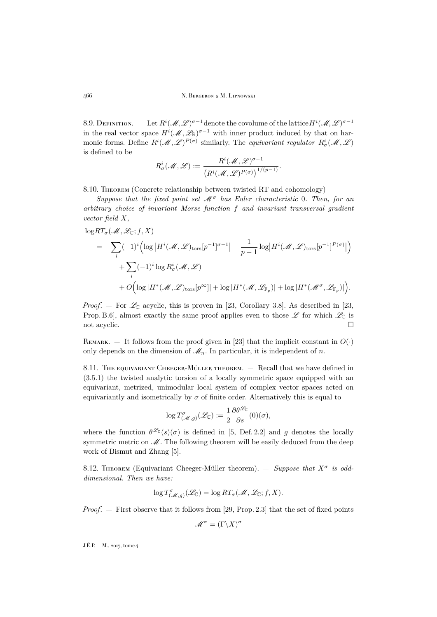8.9. DEFINITION.  $\hphantom{1}-\hphantom{1}$  Let  $R^i(\mathscr{M},\mathscr{L})^{\sigma-1}$  denote the covolume of the lattice  $H^i(\mathscr{M},\mathscr{L})^{\sigma-1}$ in the real vector space  $H^{i}(\mathcal{M}, \mathcal{L}_{\mathbb{R}})^{\sigma-1}$  with inner product induced by that on harmonic forms. Define  $R^i(\mathcal{M}, \mathcal{L})^{P(\sigma)}$  similarly. The *equivariant regulator*  $R^i_{\sigma}(\mathcal{M}, \mathcal{L})$ is defined to be

$$
R^i_\sigma({\mathscr M},{\mathscr L}):=\frac{R^i({\mathscr M},{\mathscr L})^{\sigma-1}}{\left(R^i({\mathscr M},{\mathscr L})^{P(\sigma)}\right)^{1/(p-1)}}.
$$

<span id="page-32-1"></span>8.10. THEOREM (Concrete relationship between twisted RT and cohomology)

*Suppose that the fixed point set* M<sup>σ</sup> *has Euler characteristic* 0*. Then, for an arbitrary choice of invariant Morse function* f *and invariant transversal gradient vector field* X*,*

$$
\begin{split} \log RT_{\sigma}(\mathcal{M}, \mathcal{L}_{\mathbb{C}}; f, X) \\ &= -\sum_{i} (-1)^{i} \Bigl( \log \big| H^{i}(\mathcal{M}, \mathcal{L})_{\text{tors}}[p^{-1}]^{\sigma-1} \big| - \frac{1}{p-1} \log \big| H^{i}(\mathcal{M}, \mathcal{L})_{\text{tors}}[p^{-1}]^{P(\sigma)} \big| \Bigr) \\ &+ \sum_{i} (-1)^{i} \log R_{\sigma}^{i}(\mathcal{M}, \mathcal{L}) \\ &+ O\Bigl( \log | H^{*}(\mathcal{M}, \mathcal{L})_{\text{tors}}[p^{\infty}] | + \log | H^{*}(\mathcal{M}, \mathcal{L}_{\mathbb{F}_{p}})| + \log | H^{*}(\mathcal{M}^{\sigma}, \mathcal{L}_{\mathbb{F}_{p}})| \Bigr). \end{split}
$$

*Proof.* – For  $\mathcal{L}_{\mathbb{C}}$  acyclic, this is proven in [\[23,](#page-37-0) Corollary 3.8]. As described in [23, Prop. B.6], almost exactly the same proof applies even to those  $\mathscr L$  for which  $\mathscr L_{\mathbb C}$  is not acyclic.

REMARK. — It follows from the proof given in [\[23\]](#page-37-0) that the implicit constant in  $O(\cdot)$ only depends on the dimension of  $\mathcal{M}_n$ . In particular, it is independent of n.

8.11. The equivariant Cheeger-Müller theorem.  $-$  Recall that we have defined in [\(3.5.1\)](#page-11-0) the twisted analytic torsion of a locally symmetric space equipped with an equivariant, metrized, unimodular local system of complex vector spaces acted on equivariantly and isometrically by  $\sigma$  of finite order. Alternatively this is equal to

$$
\log T_{(\mathcal{M}, g)}^{\sigma}(\mathcal{L}_{\mathbb{C}}) := \frac{1}{2} \frac{\partial \theta^{\mathcal{L}_{\mathbb{C}}}}{\partial s}(0)(\sigma),
$$

where the function  $\theta^{\mathcal{L}_C}(s)(\sigma)$  is defined in [\[5,](#page-36-4) Def. 2.2] and g denotes the locally symmetric metric on  $M$ . The following theorem will be easily deduced from the deep work of Bismut and Zhang [\[5\]](#page-36-4).

<span id="page-32-0"></span>8.12. THEOREM (Equivariant Cheeger-Müller theorem).  $-$  *Suppose that*  $X^{\sigma}$  *is odddimensional. Then we have:*

$$
\log T_{(\mathcal{M},g)}^{\sigma}(\mathcal{L}_{\mathbb{C}}) = \log RT_{\sigma}(\mathcal{M}, \mathcal{L}_{\mathbb{C}}; f, X).
$$

*Proof.* — First observe that it follows from [\[29,](#page-37-14) Prop. 2.3] that the set of fixed points

$$
\mathscr{M}^\sigma = (\Gamma \backslash X)^\sigma
$$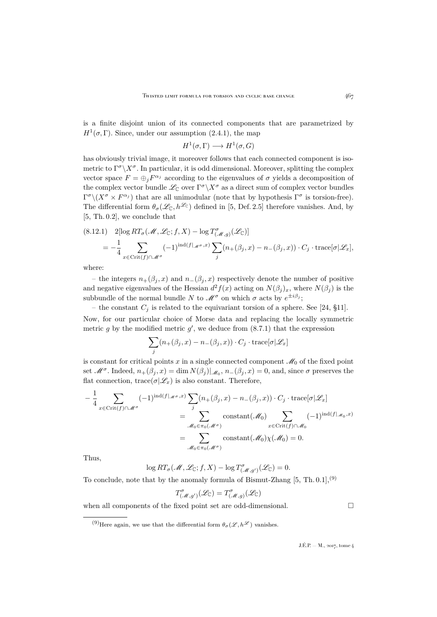is a finite disjoint union of its connected components that are parametrized by  $H^1(\sigma,\Gamma)$ . Since, under our assumption [\(2.4.1\)](#page-7-1), the map

$$
H^1(\sigma, \Gamma) \longrightarrow H^1(\sigma, G)
$$

has obviously trivial image, it moreover follows that each connected component is isometric to  $\Gamma^{\sigma}\backslash X^{\sigma}$ . In particular, it is odd dimensional. Moreover, splitting the complex vector space  $F = \bigoplus_j F^{\alpha_j}$  according to the eigenvalues of  $\sigma$  yields a decomposition of the complex vector bundle  $\mathscr{L}_{\mathbb{C}}$  over  $\Gamma^{\sigma}\backslash X^{\sigma}$  as a direct sum of complex vector bundles  $\Gamma^{\sigma}\backslash (X^{\sigma}\times F^{\alpha_j})$  that are all unimodular (note that by hypothesis  $\Gamma^{\sigma}$  is torsion-free). The differential form  $\theta_{\sigma}(\mathscr{L}_{\mathbb{C}}, h^{\mathscr{L}_{\mathbb{C}}})$  defined in [\[5,](#page-36-4) Def. 2.5] therefore vanishes. And, by [\[5,](#page-36-4) Th. 0.2], we conclude that

$$
(8.12.1) \quad 2[\log RT_{\sigma}(\mathcal{M}, \mathcal{L}_{\mathbb{C}}; f, X) - \log T_{(\mathcal{M}, g)}^{\sigma}(\mathcal{L}_{\mathbb{C}})]
$$
  
=  $-\frac{1}{4} \sum_{x \in \text{Crit}(f) \cap \mathcal{M}^{\sigma}} (-1)^{\text{ind}(f|_{\mathcal{M}^{\sigma}, x})} \sum_{j} (n_{+}(\beta_{j}, x) - n_{-}(\beta_{j}, x)) \cdot C_{j} \cdot \text{trace}[\sigma | \mathcal{L}_{x}],$ 

where:

– the integers  $n_{+}(\beta_i, x)$  and  $n_{-}(\beta_i, x)$  respectively denote the number of positive and negative eigenvalues of the Hessian  $d^2 f(x)$  acting on  $N(\beta_j)_x$ , where  $N(\beta_j)$  is the subbundle of the normal bundle N to  $\mathscr{M}^{\sigma}$  on which  $\sigma$  acts by  $e^{\pm i\beta_j}$ ;

– the constant  $C_j$  is related to the equivariant torsion of a sphere. See [\[24,](#page-37-15) §11]. Now, for our particular choice of Morse data and replacing the locally symmetric metric g by the modified metric  $g'$ , we deduce from  $(8.7.1)$  that the expression

$$
\sum_{j} (n_{+}(\beta_j, x) - n_{-}(\beta_j, x)) \cdot C_j \cdot \text{trace}[\sigma | \mathcal{L}_x]
$$

is constant for critical points x in a single connected component  $\mathcal{M}_0$  of the fixed point set  $\mathcal{M}^{\sigma}$ . Indeed,  $n_+(\beta_j, x) = \dim N(\beta_j)|_{\mathcal{M}_0}$ ,  $n_-(\beta_j, x) = 0$ , and, since  $\sigma$  preserves the flat connection, trace( $\sigma | \mathcal{L}_x$ ) is also constant. Therefore,

$$
-\frac{1}{4} \sum_{x \in \text{Crit}(f) \cap \mathcal{M}^{\sigma}} (-1)^{\text{ind}(f|_{\mathcal{M}^{\sigma}, x})} \sum_{j} (n_{+}(\beta_{j}, x) - n_{-}(\beta_{j}, x)) \cdot C_{j} \cdot \text{trace}[\sigma | \mathcal{L}_{x}]
$$

$$
= \sum_{\mathcal{M}_{0} \in \pi_{0}(\mathcal{M}^{\sigma})} \text{constant}(\mathcal{M}_{0}) \sum_{x \in \text{Crit}(f) \cap \mathcal{M}_{0}} (-1)^{\text{ind}(f|_{\mathcal{M}_{0}, x})}
$$

$$
= \sum_{\mathcal{M}_{0} \in \pi_{0}(\mathcal{M}^{\sigma})} \text{constant}(\mathcal{M}_{0}) \chi(\mathcal{M}_{0}) = 0.
$$

Thus,

 $\log RT_{\sigma}(\mathcal{M}, \mathcal{L}_{\mathbb{C}}; f, X) - \log T_{(\mathcal{M}, g')}^{\sigma}(\mathcal{L}_{\mathbb{C}}) = 0.$ 

To conclude, note that by the anomaly formula of Bismut-Zhang  $[5, Th. 0.1],<sup>(9)</sup>$  $[5, Th. 0.1],<sup>(9)</sup>$ 

$$
T^{\sigma}(\mathcal{M}, g')(\mathcal{L}_{\mathbb{C}}) = T^{\sigma}(\mathcal{M}, g)(\mathcal{L}_{\mathbb{C}})
$$

when all components of the fixed point set are odd-dimensional.

<sup>(9)</sup>Here again, we use that the differential form  $\theta_{\sigma}(\mathscr{L}, h^{\mathscr{L}})$  vanishes.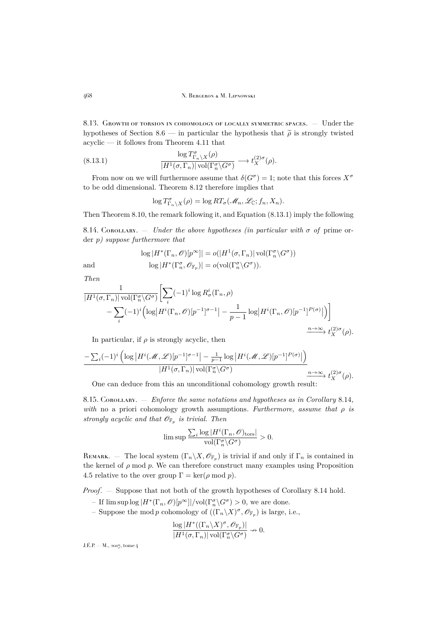8.13. Growth of torsion in cohomology of locally symmetric spaces. — Under the hypotheses of Section [8.6](#page-30-0) — in particular the hypothesis that  $\tilde{\rho}$  is strongly twisted acyclic — it follows from Theorem [4.11](#page-16-2) that

(8.13.1) 
$$
\frac{\log T^{\sigma}_{\Gamma_n \backslash X}(\rho)}{|H^1(\sigma, \Gamma_n)| \operatorname{vol}(\Gamma^{\sigma}_n \backslash G^{\sigma})} \longrightarrow t_X^{(2)\sigma}(\rho).
$$

From now on we will furthermore assume that  $\delta(G^{\sigma}) = 1$ ; note that this forces  $X^{\sigma}$ to be odd dimensional. Theorem [8.12](#page-32-0) therefore implies that

<span id="page-34-0"></span>
$$
\log T_{\Gamma_n \backslash X}^{\sigma}(\rho) = \log RT_{\sigma}(\mathcal{M}_n, \mathcal{L}_{\mathbb{C}}; f_n, X_n).
$$

Then Theorem [8.10,](#page-32-1) the remark following it, and Equation [\(8.13.1\)](#page-34-0) imply the following

<span id="page-34-1"></span>8.14. Corollary. — *Under the above hypotheses (in particular with* σ *of* prime order p*) suppose furthermore that*

$$
\log |H^*(\Gamma_n, \mathscr{O})[p^{\infty}]| = o(|H^1(\sigma, \Gamma_n)| \operatorname{vol}(\Gamma_n^{\sigma} \backslash G^{\sigma}))
$$
  
and  

$$
\log |H^*(\Gamma_n^{\sigma}, \mathscr{O}_{\mathbb{F}_p})| = o(\operatorname{vol}(\Gamma_n^{\sigma} \backslash G^{\sigma})).
$$

*Then*

$$
\frac{1}{|H^1(\sigma, \Gamma_n)| \operatorname{vol}(\Gamma_n^{\sigma} \backslash G^{\sigma})} \bigg[ \sum_i (-1)^i \log R_{\sigma}^i(\Gamma_n, \rho) - \sum_i (-1)^i \Big( \log |H^i(\Gamma_n, \mathcal{O})[p^{-1}]^{\sigma-1} | - \frac{1}{p-1} \log |H^i(\Gamma_n, \mathcal{O})[p^{-1}]^{\rho(\sigma)} | \Big) \bigg]
$$
\n
$$
- \sum_i (-1)^i \Big( \log |H^i(\Gamma_n, \mathcal{O})[p^{-1}]^{\sigma-1} | - \frac{1}{p-1} \log |H^i(\Gamma_n, \mathcal{O})[p^{-1}]^{\rho(\sigma)} | \Big) \bigg]
$$
\n
$$
\xrightarrow{n \to \infty} t_X^{(2)\sigma}(\rho).
$$

In particular, if  $\rho$  is strongly acyclic, then

$$
\frac{-\sum_{i}(-1)^{i}\left(\log\left|H^{i}(\mathcal{M},\mathcal{L})[p^{-1}]^{\sigma-1}\right|-\frac{1}{p-1}\log\left|H^{i}(\mathcal{M},\mathcal{L})[p^{-1}]^{P(\sigma)}\right|\right)}{|H^{1}(\sigma,\Gamma_{n})|\operatorname{vol}(\Gamma_{n}^{\sigma}\backslash G^{\sigma})}\prod_{\substack{n\to\infty\\ \chi\downarrow}}t_{X}^{(2)\sigma}(\rho).
$$

One can deduce from this an unconditional cohomology growth result:

<span id="page-34-2"></span>8.15. Corollary. — *Enforce the same notations and hypotheses as in Corollary* [8.14](#page-34-1)*, with* no a priori cohomology growth assumptions. Furthermore, assume that  $\rho$  is strongly acyclic and that  $\mathscr{O}_{\mathbb{F}_p}$  is trivial. Then

$$
\limsup \frac{\sum_i \log |H^i(\Gamma_n, \mathscr{O})_{\text{tors}}|}{\text{vol}(\Gamma^\sigma_n \backslash G^\sigma)} > 0.
$$

REMARK. – The local system  $(\Gamma_n \backslash X, \mathscr{O}_{\mathbb{F}_p})$  is trivial if and only if  $\Gamma_n$  is contained in the kernel of  $\rho$  mod  $p$ . We can therefore construct many examples using Proposition [4.5](#page-13-0) relative to the over group  $\Gamma = \ker(\rho \mod p)$ .

*Proof*. — Suppose that not both of the growth hypotheses of Corollary [8.14](#page-34-1) hold.

- If  $\limsup \log |H^*(\Gamma_n, \mathcal{O})[p^{\infty}]|/\text{vol}(\Gamma_n^{\sigma} \backslash G^{\sigma}) > 0$ , we are done.
- Suppose the mod p cohomology of  $((\Gamma_n\backslash X)^\sigma, \mathscr{O}_{\mathbb{F}_p})$  is large, i.e.,

$$
\frac{\log |H^*((\Gamma_n\backslash X)^\sigma,\mathscr{O}_{\mathbb{F}_p})|}{|H^1(\sigma,\Gamma_n)|\operatorname{vol}(\Gamma^\sigma_n\backslash G^\sigma)}\nrightarrow 0.
$$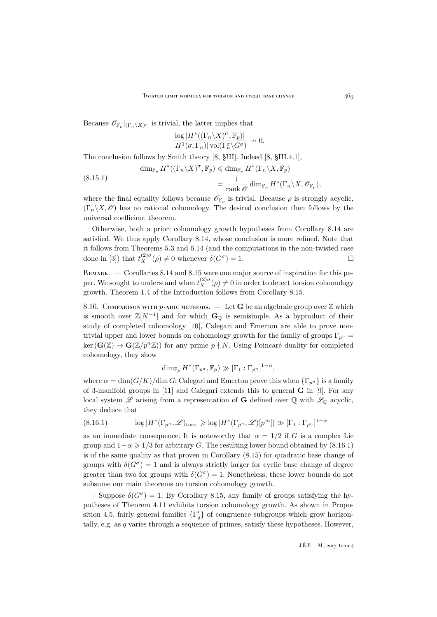Because  $\mathscr{O}_{\mathbb{F}_p}|_{(\Gamma_n\setminus X)^\sigma}$  is trivial, the latter implies that

$$
\frac{\log |H^*((\Gamma_n \backslash X)^\sigma, \mathbb{F}_p)|}{|H^1(\sigma, \Gamma_n)| \operatorname{vol}(\Gamma^\sigma_n \backslash G^\sigma)} \nrightarrow 0.
$$

The conclusion follows by Smith theory [\[8,](#page-36-10) §III]. Indeed [\[8,](#page-36-10) §III.4.1],

(8.15.1) 
$$
\dim_{\mathbb{F}_p} H^*((\Gamma_n \backslash X)^\sigma, \mathbb{F}_p) \leq \dim_{\mathbb{F}_p} H^*(\Gamma_n \backslash X, \mathbb{F}_p)
$$

$$
= \frac{1}{\operatorname{rank} \mathscr{O}} \dim_{\mathbb{F}_p} H^*(\Gamma_n \backslash X, \mathscr{O}_{\mathbb{F}_p}),
$$

where the final equality follows because  $\mathscr{O}_{\mathbb{F}_p}$  is trivial. Because  $\rho$  is strongly acyclic,  $(\Gamma_n \backslash X, \mathscr{O})$  has no rational cohomology. The desired conclusion then follows by the universal coefficient theorem.

Otherwise, both a priori cohomology growth hypotheses from Corollary [8.14](#page-34-1) are satisfied. We thus apply Corollary [8.14,](#page-34-1) whose conclusion is more refined. Note that it follows from Theorems [5.3](#page-18-1) and [6.14](#page-26-2) (and the computations in the non-twisted case done in [\[3\]](#page-36-0)) that  $t_X^{(2)\sigma}(\rho) \neq 0$  whenever  $\delta(G^{\sigma}) = 1$ .

REMARK. — Corollaries [8.14](#page-34-1) and [8.15](#page-34-2) were one major source of inspiration for this paper. We sought to understand when  $t_X^{(2)\sigma}(\rho) \neq 0$  in order to detect torsion cohomology growth. Theorem [1.4](#page-3-2) of the Introduction follows from Corollary [8.15.](#page-34-2)

8.16. Comparison with p-adic methods.  $\overline{ }$  Let G be an algebraic group over  $\mathbb Z$  which is smooth over  $\mathbb{Z}[N^{-1}]$  and for which  $\mathbf{G}_{\mathbb{Q}}$  is semisimple. As a byproduct of their study of completed cohomology [\[10\]](#page-36-11), Calegari and Emerton are able to prove nontrivial upper and lower bounds on cohomology growth for the family of groups  $\Gamma_{p^n}$  =  $\ker(G(\mathbb{Z}) \to G(\mathbb{Z}/p^n\mathbb{Z}))$  for any prime  $p \nmid N$ . Using Poincaré duality for completed cohomology, they show

$$
\dim_{\mathbb{F}_p} H^*(\Gamma_{p^n}, \mathbb{F}_p) \gg [\Gamma_1 : \Gamma_{p^n}]^{1-\alpha},
$$

where  $\alpha = \dim(G/K)/\dim G$ ; Calegari and Emerton prove this when  $\{\Gamma_{p^n}\}\$ is a family of 3-manifold groups in [\[11\]](#page-36-12) and Calegari extends this to general G in [\[9\]](#page-36-13). For any local system  $\mathscr L$  arising from a representation of **G** defined over  $\mathbb Q$  with  $\mathscr L_{\mathbb Q}$  acyclic, they deduce that

<span id="page-35-0"></span>
$$
(8.16.1) \t\t \log |H^*(\Gamma_{p^n}, \mathscr{L})_{\text{tors}}| \geqslant \log |H^*(\Gamma_{p^n}, \mathscr{L})[p^\infty]| \gg [\Gamma_1 : \Gamma_{p^n}]^{1-\alpha}
$$

as an immediate consequence. It is noteworthy that  $\alpha = 1/2$  if G is a complex Lie group and  $1-\alpha \geq 1/3$  for arbitrary G. The resulting lower bound obtained by [\(8.16.1\)](#page-35-0) is of the same quality as that proven in Corollary [\(8.15\)](#page-34-2) for quadratic base change of groups with  $\delta(G^{\sigma}) = 1$  and is always strictly larger for cyclic base change of degree greater than two for groups with  $\delta(G^{\sigma}) = 1$ . Nonetheless, these lower bounds do not subsume our main theorems on torsion cohomology growth.

- Suppose  $\delta(G^{\sigma}) = 1$ . By Corollary [8.15,](#page-34-2) any family of groups satisfying the hypotheses of Theorem [4.11](#page-16-2) exhibits torsion cohomology growth. As shown in Propo-sition [4.5,](#page-13-0) fairly general families  $\{\Gamma'_q\}$  of congruence subgroups which grow horizontally, e.g. as q varies through a sequence of primes, satisfy these hypotheses. However,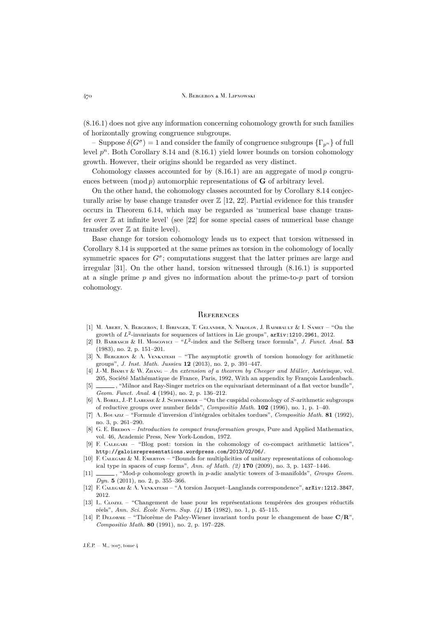[\(8.16.1\)](#page-35-0) does not give any information concerning cohomology growth for such families of horizontally growing congruence subgroups.

– Suppose  $\delta(G^{\sigma}) = 1$  and consider the family of congruence subgroups  $\{\Gamma_{p^n}\}$  of full level  $p^n$ . Both Corollary [8.14](#page-34-1) and  $(8.16.1)$  yield lower bounds on torsion cohomology growth. However, their origins should be regarded as very distinct.

Cohomology classes accounted for by  $(8.16.1)$  are an aggregate of mod p congruences between  $(\text{mod } p)$  automorphic representations of  $G$  of arbitrary level.

On the other hand, the cohomology classes accounted for by Corollary [8.14](#page-34-1) conjecturally arise by base change transfer over  $\mathbb{Z}$  [\[12,](#page-36-14) [22\]](#page-37-16). Partial evidence for this transfer occurs in Theorem [6.14,](#page-26-2) which may be regarded as 'numerical base change transfer over  $\mathbb Z$  at infinite level' (see [\[22\]](#page-37-16) for some special cases of numerical base change transfer over  $\mathbb Z$  at finite level).

Base change for torsion cohomology leads us to expect that torsion witnessed in Corollary [8.14](#page-34-1) is supported at the same primes as torsion in the cohomology of locally symmetric spaces for  $G^{\sigma}$ ; computations suggest that the latter primes are large and irregular [\[31\]](#page-37-17). On the other hand, torsion witnessed through [\(8.16.1\)](#page-35-0) is supported at a single prime  $p$  and gives no information about the prime-to- $p$  part of torsion cohomology.

#### <span id="page-36-1"></span>**REFERENCES**

- <span id="page-36-7"></span>[1] M. Abert, N. Bergeron, I. Biringer, T. Gelander, N. Nikolov, J. Raimbault & I. Samet – "On the growth of  $L^2$ -invariants for sequences of lattices in Lie groups",  $arXiv:1210.2961$ , 2012.
- <span id="page-36-6"></span>[2] D. BARBASCH & H. MOSCOVICI – " $L^2$ -index and the Selberg trace formula", *J. Funct. Anal.* 53 (1983), no. 2, p. 151–201.
- <span id="page-36-0"></span>[3] N. BERGERON & A. VENKATESH – "The asymptotic growth of torsion homology for arithmetic groups", *J. Inst. Math. Jussieu* **12** (2013), no. 2, p. 391–447.
- <span id="page-36-9"></span>[4] J.-M. Bismut & W. Zhang – *An extension of a theorem by Cheeger and Müller*, Astérisque, vol. 205, Société Mathématique de France, Paris, 1992, With an appendix by François Laudenbach.
- <span id="page-36-4"></span>[5]  $\frac{1}{\sqrt{5}}$ , "Milnor and Ray-Singer metrics on the equivariant determinant of a flat vector bundle", *Geom. Funct. Anal.* **4** (1994), no. 2, p. 136–212.
- <span id="page-36-2"></span>[6] A. BOREL, J.-P. LABESSE & J. SCHWERMER – "On the cuspidal cohomology of S-arithmetic subgroups of reductive groups over number fields", *Compositio Math.* **102** (1996), no. 1, p. 1–40.
- <span id="page-36-5"></span>[7] A. Bouaziz – "Formule d'inversion d'intégrales orbitales tordues", *Compositio Math.* **81** (1992), no. 3, p. 261–290.
- <span id="page-36-10"></span>[8] G. E. BREDON – *Introduction to compact transformation groups*, Pure and Applied Mathematics, vol. 46, Academic Press, New York-London, 1972.
- <span id="page-36-13"></span>[9] F. Calegari – "Blog post: torsion in the cohomology of co-compact arithmetic lattices", [http://galoisrepresentations.wordpress.com/2013/02/06/](http://galoisrepresentations.wordpress.com/2013/02/06/torsion-in-the-cohomology-of-co-compact-arithmetic-lattices/).
- <span id="page-36-11"></span>[10] F. CALEGARI & M. EMERTON – "Bounds for multiplicities of unitary representations of cohomological type in spaces of cusp forms", *Ann. of Math. (2)* **170** (2009), no. 3, p. 1437–1446.
- <span id="page-36-12"></span>[11] , "Mod-p cohomology growth in p-adic analytic towers of 3-manifolds", *Groups Geom. Dyn.* **5** (2011), no. 2, p. 355–366.
- <span id="page-36-14"></span>[12] F. Calegari & A. Venkatesh – "A torsion Jacquet–Langlands correspondence", [arXiv:1212.3847](http://arxiv.org/abs/1212.3847), 2012.
- <span id="page-36-8"></span>[13] L. Clozel – "Changement de base pour les représentations tempérées des groupes réductifs réels", *Ann. Sci. École Norm. Sup. (4)* **15** (1982), no. 1, p. 45–115.
- <span id="page-36-3"></span>[14] P. Delorme – "Théorème de Paley-Wiener invariant tordu pour le changement de base C/R", *Compositio Math.* **80** (1991), no. 2, p. 197–228.